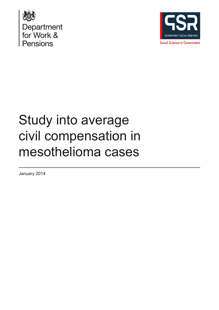



# Study into average civil compensation in mesothelioma cases

January 2014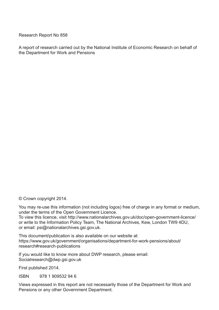Research Report No 858

A report of research carried out by the National Institute of Economic Research on behalf of the Department for Work and Pensions

© Crown copyright 2014.

You may re-use this information (not including logos) free of charge in any format or medium, under the terms of the Open Government Licence. To view this licence, visit http://www.nationalarchives.gov.uk/doc/open-government-licence/ or write to the Information Policy Team, The National Archives, Kew, London TW9 4DU,

or email: psi@nationalarchives.gsi.gov.uk.

This document/publication is also available on our website at: https://www.gov.uk/government/organisations/department-for-work-pensions/about/ research#research-publications

If you would like to know more about DWP research, please email: Socialresearch@dwp.gsi.gov.uk

First published 2014.

ISBN 978 1 909532 94 6

Views expressed in this report are not necessarily those of the Department for Work and Pensions or any other Government Department.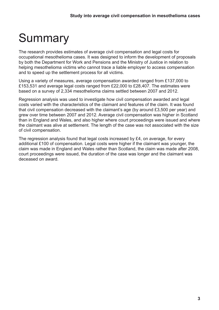# **Summary**

The research provides estimates of average civil compensation and legal costs for occupational mesothelioma cases. It was designed to inform the development of proposals by both the Department for Work and Pensions and the Ministry of Justice in relation to helping mesothelioma victims who cannot trace a liable employer to access compensation and to speed up the settlement process for all victims.

Using a variety of measures, average compensation awarded ranged from £137,000 to £153,531 and average legal costs ranged from £22,000 to £28,407. The estimates were based on a survey of 2,334 mesothelioma claims settled between 2007 and 2012.

Regression analysis was used to investigate how civil compensation awarded and legal costs varied with the characteristics of the claimant and features of the claim. It was found that civil compensation decreased with the claimant's age (by around £3,500 per year) and grew over time between 2007 and 2012. Average civil compensation was higher in Scotland than in England and Wales, and also higher where court proceedings were issued and where the claimant was alive at settlement. The length of the case was not associated with the size of civil compensation.

The regression analysis found that legal costs increased by £4, on average, for every additional £100 of compensation. Legal costs were higher if the claimant was younger, the claim was made in England and Wales rather than Scotland, the claim was made after 2008, court proceedings were issued, the duration of the case was longer and the claimant was deceased on award.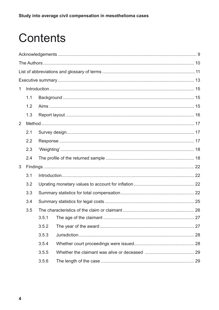# Contents

| 1 |     |       |  |  |  |
|---|-----|-------|--|--|--|
|   | 1.1 |       |  |  |  |
|   | 1.2 |       |  |  |  |
|   | 1.3 |       |  |  |  |
| 2 |     |       |  |  |  |
|   | 2.1 |       |  |  |  |
|   | 2.2 |       |  |  |  |
|   | 2.3 |       |  |  |  |
|   | 2.4 |       |  |  |  |
| 3 |     |       |  |  |  |
|   | 3.1 |       |  |  |  |
|   | 3.2 |       |  |  |  |
|   | 3.3 |       |  |  |  |
|   | 3.4 |       |  |  |  |
|   | 3.5 |       |  |  |  |
|   |     | 3.5.1 |  |  |  |
|   |     | 3.5.2 |  |  |  |
|   |     | 3.5.3 |  |  |  |
|   |     | 3.5.4 |  |  |  |
|   |     | 3.5.5 |  |  |  |
|   |     | 3.5.6 |  |  |  |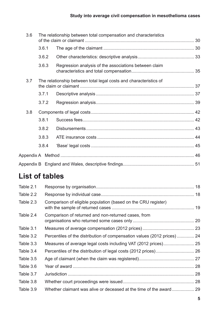| 3.6 |       | The relationship between total compensation and characteristics   |  |
|-----|-------|-------------------------------------------------------------------|--|
|     | 3.6.1 |                                                                   |  |
|     | 3.6.2 |                                                                   |  |
|     | 3.6.3 | Regression analysis of the associations between claim             |  |
| 3.7 |       | The relationship between total legal costs and characteristics of |  |
|     | 3.7.1 |                                                                   |  |
|     | 3.7.2 |                                                                   |  |
| 3.8 |       |                                                                   |  |
|     | 3.8.1 |                                                                   |  |
|     | 3.8.2 |                                                                   |  |
|     | 3.8.3 |                                                                   |  |
|     | 3.8.4 |                                                                   |  |
|     |       |                                                                   |  |
|     |       |                                                                   |  |

## **List of tables**

| Comparison of eligible population (based on the CRU register) |                                                                          |
|---------------------------------------------------------------|--------------------------------------------------------------------------|
| Comparison of returned and non-returned cases, from           |                                                                          |
|                                                               |                                                                          |
|                                                               |                                                                          |
|                                                               |                                                                          |
|                                                               |                                                                          |
|                                                               |                                                                          |
|                                                               |                                                                          |
|                                                               |                                                                          |
|                                                               |                                                                          |
|                                                               |                                                                          |
|                                                               | Percentiles of the distribution of compensation values (2012 prices)  24 |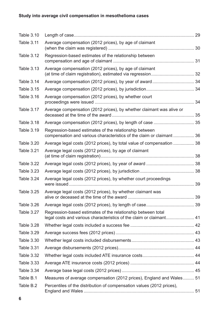### **Study into average civil compensation in mesothelioma cases**

| <b>Table 3.10</b> |                                                                                                                                     |  |
|-------------------|-------------------------------------------------------------------------------------------------------------------------------------|--|
| Table 3.11        | Average compensation (2012 prices), by age of claimant                                                                              |  |
| <b>Table 3.12</b> | Regression-based estimates of the relationship between                                                                              |  |
| <b>Table 3.13</b> | Average compensation (2012 prices), by age of claimant                                                                              |  |
| Table 3.14        |                                                                                                                                     |  |
| <b>Table 3.15</b> |                                                                                                                                     |  |
| <b>Table 3.16</b> | Average compensation (2012 prices), by whether court                                                                                |  |
| Table 3.17        | Average compensation (2012 prices), by whether claimant was alive or                                                                |  |
| <b>Table 3.18</b> | Average compensation (2012 prices), by length of case  35                                                                           |  |
| <b>Table 3.19</b> | Regression-based estimates of the relationship between<br>compensation and various characteristics of the claim or claimant  36     |  |
| Table 3.20        | Average legal costs (2012 prices), by total value of compensation  38                                                               |  |
| Table 3.21        | Average legal costs (2012 prices), by age of claimant                                                                               |  |
| Table 3.22        |                                                                                                                                     |  |
| <b>Table 3.23</b> |                                                                                                                                     |  |
| Table 3.24        | Average legal costs (2012 prices), by whether court proceedings                                                                     |  |
| <b>Table 3.25</b> | Average legal costs (2012 prices), by whether claimant was                                                                          |  |
| <b>Table 3.26</b> |                                                                                                                                     |  |
| Table 3.27        | Regression-based estimates of the relationship between total<br>legal costs and various characteristics of the claim or claimant 41 |  |
| <b>Table 3.28</b> |                                                                                                                                     |  |
| <b>Table 3.29</b> |                                                                                                                                     |  |
| <b>Table 3.30</b> |                                                                                                                                     |  |
| <b>Table 3.31</b> |                                                                                                                                     |  |
| <b>Table 3.32</b> |                                                                                                                                     |  |
| <b>Table 3.33</b> |                                                                                                                                     |  |
| Table 3.34        |                                                                                                                                     |  |
| Table B.1         | Measures of average compensation (2012 prices), England and Wales 51                                                                |  |
| Table B.2         | Percentiles of the distribution of compensation values (2012 prices),                                                               |  |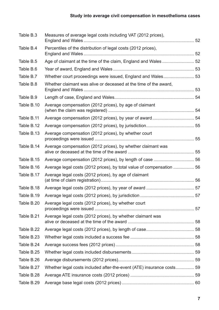| Table B.3  | Measures of average legal costs including VAT (2012 prices),          |  |
|------------|-----------------------------------------------------------------------|--|
| Table B.4  | Percentiles of the distribution of legal costs (2012 prices),         |  |
| Table B.5  |                                                                       |  |
| Table B.6  |                                                                       |  |
| Table B.7  | Whether court proceedings were issued, England and Wales 53           |  |
| Table B.8  | Whether claimant was alive or deceased at the time of the award,      |  |
| Table B.9  |                                                                       |  |
| Table B.10 | Average compensation (2012 prices), by age of claimant                |  |
| Table B.11 |                                                                       |  |
| Table B.12 |                                                                       |  |
| Table B.13 | Average compensation (2012 prices), by whether court                  |  |
| Table B.14 | Average compensation (2012 prices), by whether claimant was           |  |
| Table B.15 |                                                                       |  |
| Table B.16 | Average legal costs (2012 prices), by total value of compensation  56 |  |
| Table B.17 | Average legal costs (2012 prices), by age of claimant                 |  |
| Table B.18 |                                                                       |  |
| Table B.19 |                                                                       |  |
| Table B.20 | Average legal costs (2012 prices), by whether court                   |  |
| Table B.21 | Average legal costs (2012 prices), by whether claimant was            |  |
| Table B.22 |                                                                       |  |
| Table B.23 |                                                                       |  |
| Table B.24 |                                                                       |  |
| Table B.25 |                                                                       |  |
| Table B.26 |                                                                       |  |
| Table B.27 | Whether legal costs included after-the-event (ATE) insurance costs 59 |  |
| Table B.28 |                                                                       |  |
| Table B.29 |                                                                       |  |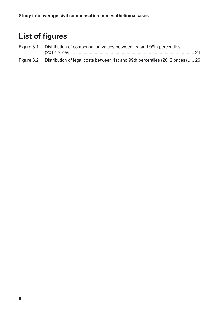# **List of figures**

| Figure 3.1 Distribution of compensation values between 1st and 99th percentiles |                                                                                           |  |
|---------------------------------------------------------------------------------|-------------------------------------------------------------------------------------------|--|
|                                                                                 |                                                                                           |  |
|                                                                                 | Figure 3.2 Distribution of legal costs between 1st and 99th percentiles (2012 prices)  26 |  |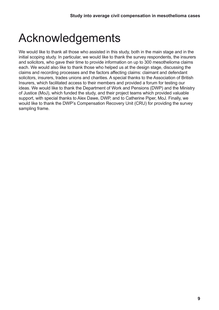# <span id="page-8-0"></span>Acknowledgements

We would like to thank all those who assisted in this study, both in the main stage and in the initial scoping study. In particular, we would like to thank the survey respondents, the insurers and solicitors, who gave their time to provide information on up to 300 mesothelioma claims each. We would also like to thank those who helped us at the design stage, discussing the claims and recording processes and the factors affecting claims: claimant and defendant solicitors, insurers, trades unions and charities. A special thanks to the Association of British Insurers, which facilitated access to their members and provided a forum for testing our ideas. We would like to thank the Department of Work and Pensions (DWP) and the Ministry of Justice (MoJ), which funded the study, and their project teams which provided valuable support, with special thanks to Alex Dawe, DWP, and to Catherine Piper, MoJ. Finally, we would like to thank the DWP's Compensation Recovery Unit (CRU) for providing the survey sampling frame.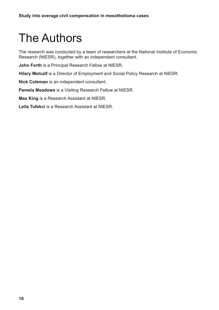# <span id="page-9-0"></span>The Authors

The research was conducted by a team of researchers at the National Institute of Economic Research (NIESR), together with an independent consultant.

**John Forth** is a Principal Research Fellow at NIESR.

**Hilary Metcalf** is a Director of Employment and Social Policy Research at NIESR.

**Nick Coleman** is an independent consultant.

**Pamela Meadows** is a Visiting Research Fellow at NIESR.

**Max King** is a Research Assistant at NIESR.

**Leila Tufekci** is a Research Assistant at NIESR.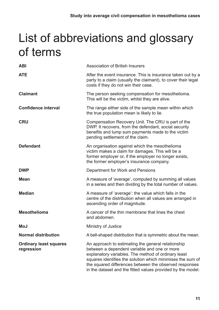# <span id="page-10-0"></span>List of abbreviations and glossary of terms

| <b>ABI</b>                                  | <b>Association of British Insurers</b>                                                                                                                                                                                                                                                                                                           |  |
|---------------------------------------------|--------------------------------------------------------------------------------------------------------------------------------------------------------------------------------------------------------------------------------------------------------------------------------------------------------------------------------------------------|--|
| <b>ATE</b>                                  | After the event insurance. This is insurance taken out by a<br>party to a claim (usually the claimant), to cover their legal<br>costs if they do not win their case.                                                                                                                                                                             |  |
| <b>Claimant</b>                             | The person seeking compensation for mesothelioma.<br>This will be the victim, whilst they are alive.                                                                                                                                                                                                                                             |  |
| <b>Confidence interval</b>                  | The range either side of the sample mean within which<br>the true population mean is likely to lie.                                                                                                                                                                                                                                              |  |
| <b>CRU</b>                                  | Compensation Recovery Unit. The CRU is part of the<br>DWP. It recovers, from the defendant, social security<br>benefits and lump sum payments made to the victim<br>pending settlement of the claim.                                                                                                                                             |  |
| <b>Defendant</b>                            | An organisation against which the mesothelioma<br>victim makes a claim for damages. This will be a<br>former employer or, if the employer no longer exists,<br>the former employer's insurance company.                                                                                                                                          |  |
| <b>DWP</b>                                  | Department for Work and Pensions                                                                                                                                                                                                                                                                                                                 |  |
| <b>Mean</b>                                 | A measure of 'average', computed by summing all values<br>in a series and then dividing by the total number of values.                                                                                                                                                                                                                           |  |
| <b>Median</b>                               | A measure of 'average': the value which falls in the<br>centre of the distribution when all values are arranged in<br>ascending order of magnitude.                                                                                                                                                                                              |  |
| <b>Mesothelioma</b>                         | A cancer of the thin membrane that lines the chest<br>and abdomen.                                                                                                                                                                                                                                                                               |  |
| MoJ                                         | Ministry of Justice                                                                                                                                                                                                                                                                                                                              |  |
| <b>Normal distribution</b>                  | A bell-shaped distribution that is symmetric about the mean.                                                                                                                                                                                                                                                                                     |  |
| <b>Ordinary least squares</b><br>regression | An approach to estimating the general relationship<br>between a dependent variable and one or more<br>explanatory variables. The method of ordinary least<br>squares identifies the solution which minimises the sum of<br>the squared differences between the observed responses<br>in the dataset and the fitted values provided by the model. |  |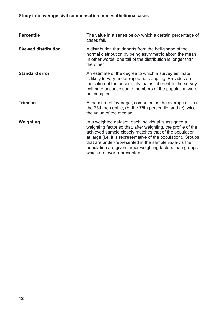### **Study into average civil compensation in mesothelioma cases**

| <b>Percentile</b>          | The value in a series below which a certain percentage of<br>cases fall.                                                                                                                                                                                                                                                                                                                                |  |
|----------------------------|---------------------------------------------------------------------------------------------------------------------------------------------------------------------------------------------------------------------------------------------------------------------------------------------------------------------------------------------------------------------------------------------------------|--|
| <b>Skewed distribution</b> | A distribution that departs from the bell-shape of the<br>normal distribution by being asymmetric about the mean.<br>In other words, one tail of the distribution is longer than<br>the other.                                                                                                                                                                                                          |  |
| <b>Standard error</b>      | An estimate of the degree to which a survey estimate<br>is likely to vary under repeated sampling. Provides an<br>indication of the uncertainty that is inherent to the survey<br>estimate because some members of the population were<br>not sampled.                                                                                                                                                  |  |
| <b>Trimean</b>             | A measure of 'average', computed as the average of: (a)<br>the 25th percentile; (b) the 75th percentile; and (c) twice<br>the value of the median.                                                                                                                                                                                                                                                      |  |
| Weighting                  | In a weighted dataset, each individual is assigned a<br>weighting factor so that, after weighting, the profile of the<br>achieved sample closely matches that of the population<br>at large (i.e. it is representative of the population). Groups<br>that are under-represented in the sample vis-a-vis the<br>population are given larger weighting factors than groups<br>which are over-represented. |  |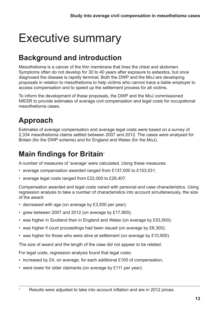# <span id="page-12-0"></span>Executive summary

## **Background and introduction**

Mesothelioma is a cancer of the thin membrane that lines the chest and abdomen. Symptoms often do not develop for 30 to 40 years after exposure to asbestos, but once diagnosed the disease is rapidly terminal. Both the DWP and the MoJ are developing proposals in relation to mesothelioma to help victims who cannot trace a liable employer to access compensation and to speed up the settlement process for all victims.

To inform the development of these proposals, the DWP and the MoJ commissioned NIESR to provide estimates of average civil compensation and legal costs for occupational mesothelioma cases.

# **Approach**

Estimates of average compensation and average legal costs were based on a survey of 2,334 mesothelioma claims settled between 2007 and 2012. The cases were analysed for Britain (for the DWP scheme) and for England and Wales (for the MoJ).

# **Main findings for Britain**<sup>1</sup>

A number of measures of 'average' were calculated. Using these measures:

- average compensation awarded ranged from £137,000 to £153,531;
- average legal costs ranged from £22,000 to £28,407.

Compensation awarded and legal costs varied with personal and case characteristics. Using regression analysis to take a number of characteristics into account simultaneously, the size of the award:

- decreased with age (on average by £3,500 per year);
- grew between 2007 and 2012 (on average by £17,900);
- was higher in Scotland than in England and Wales (on average by £53,500);
- was higher if court proceedings had been issued (on average by £8,300);
- was higher for those who were alive at settlement (on average by £10,900).

The size of award and the length of the case did not appear to be related.

For legal costs, regression analysis found that legal costs:

- increased by £4, on average, for each additional £100 of compensation;
- were lower for older claimants (on average by £111 per year);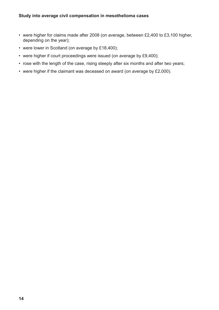- were higher for claims made after 2008 (on average, between £2,400 to £3,100 higher, depending on the year);
- were lower in Scotland (on average by £18,400);
- were higher if court proceedings were issued (on average by £9,400);
- rose with the length of the case, rising steeply after six months and after two years;
- were higher if the claimant was deceased on award (on average by £2,000).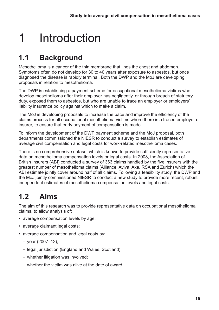# <span id="page-14-0"></span>1 Introduction

## **1.1 Background**

Mesothelioma is a cancer of the thin membrane that lines the chest and abdomen. Symptoms often do not develop for 30 to 40 years after exposure to asbestos, but once diagnosed the disease is rapidly terminal. Both the DWP and the MoJ are developing proposals in relation to mesothelioma.

The DWP is establishing a payment scheme for occupational mesothelioma victims who develop mesothelioma after their employer has negligently, or through breach of statutory duty, exposed them to asbestos, but who are unable to trace an employer or employers' liability insurance policy against which to make a claim.

The MoJ is developing proposals to increase the pace and improve the efficiency of the claims process for all occupational mesothelioma victims where there is a traced employer or insurer, to ensure that early payment of compensation is made.

To inform the development of the DWP payment scheme and the MoJ proposal, both departments commissioned the NIESR to conduct a survey to establish estimates of average civil compensation and legal costs for work-related mesothelioma cases.

There is no comprehensive dataset which is known to provide sufficiently representative data on mesothelioma compensation levels or legal costs. In 2008, the Association of British Insurers (ABI) conducted a survey of 363 claims handled by the five insurers with the greatest number of mesothelioma claims (Alliance, Aviva, Axa, RSA and Zurich) which the ABI estimate jointly cover around half of all claims. Following a feasibility study, the DWP and the MoJ jointly commissioned NIESR to conduct a new study to provide more recent, robust, independent estimates of mesothelioma compensation levels and legal costs.

## **1.2 Aims**

The aim of this research was to provide representative data on occupational mesothelioma claims, to allow analysis of:

- average compensation levels by age;
- average claimant legal costs;
- average compensation and legal costs by:
	- year (2007–12);
	- legal jurisdiction (England and Wales, Scotland);
	- whether litigation was involved;
	- whether the victim was alive at the date of award.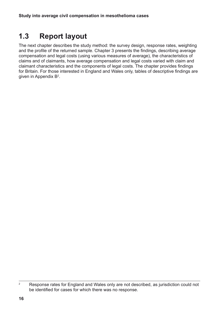## <span id="page-15-0"></span>**1.3 Report layout**

The next chapter describes the study method: the survey design, response rates, weighting and the profile of the returned sample. Chapter 3 presents the findings, describing average compensation and legal costs (using various measures of average), the characteristics of claims and of claimants, how average compensation and legal costs varied with claim and claimant characteristics and the components of legal costs. The chapter provides findings for Britain. For those interested in England and Wales only, tables of descriptive findings are given in Appendix  $B^2$ .

<sup>&</sup>lt;sup>2</sup> Response rates for England and Wales only are not described, as jurisdiction could not be identified for cases for which there was no response.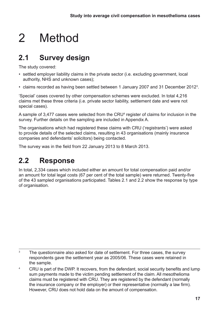# <span id="page-16-0"></span>2 Method

## **2.1 Survey design**

The study covered:

- settled employer liability claims in the private sector (i.e. excluding government, local authority, NHS and unknown cases);
- claims recorded as having been settled between 1 January 2007 and 31 December 2012<sup>3</sup>.

'Special' cases covered by other compensation schemes were excluded. In total 4,216 claims met these three criteria (i.e. private sector liability, settlement date and were not special cases).

A sample of 3,477 cases were selected from the CRU<sup>4</sup> register of claims for inclusion in the survey. Further details on the sampling are included in Appendix A.

The organisations which had registered these claims with CRU ('registrants') were asked to provide details of the selected claims, resulting in 43 organisations (mainly insurance companies and defendants' solicitors) being contacted.

The survey was in the field from 22 January 2013 to 8 March 2013.

## **2.2 Response**

In total, 2,334 cases which included either an amount for total compensation paid and/or an amount for total legal costs (67 per cent of the total sample) were returned. Twenty-five of the 43 sampled organisations participated. Tables 2.1 and 2.2 show the response by type of organisation.

 $3$  The questionnaire also asked for date of settlement. For three cases, the survey respondents gave the settlement year as 2005/06. These cases were retained in the sample.

<sup>4</sup> CRU is part of the DWP. It recovers, from the defendant, social security benefits and lump sum payments made to the victim pending settlement of the claim. All mesothelioma claims must be registered with CRU. They are registered by the defendant (normally the insurance company or the employer) or their representative (normally a law firm). However, CRU does not hold data on the amount of compensation.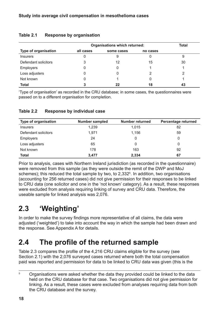|                             | Organisations which returned: |            |          | <b>Total</b> |
|-----------------------------|-------------------------------|------------|----------|--------------|
| <b>Type of organisation</b> | all cases                     | some cases | no cases |              |
| <b>Insurers</b>             |                               | 9          |          | 9            |
| Defendant solicitors        | 3                             | 12         | 15       | 30           |
| <b>Employers</b>            |                               | 0          |          |              |
| Loss adjusters              |                               |            |          | っ            |
| Not known                   |                               |            | 0        |              |
| <b>Total</b>                |                               | 22         | 18       | 43           |

#### <span id="page-17-0"></span>**Table 2.1 Response by organisation**

'Type of organisation' as recorded in the CRU database; in some cases, the questionnaires were passed on to a different organisation for completion.

#### **Table 2.2 Response by individual case**

| <b>Type of organisation</b> | <b>Number sampled</b> | Number returned | Percentage returned |
|-----------------------------|-----------------------|-----------------|---------------------|
| <b>Insurers</b>             | 1,239                 | 1.015           | 82                  |
| Defendant solicitors        | 1,971                 | 1,156           | 59                  |
| <b>Employers</b>            | 24                    | 0               | 0                   |
| Loss adjusters              | 65                    | 0               | 0                   |
| Not known                   | 178                   | 163             | 92                  |
| Total                       | 3.477                 | 2,334           | 67                  |

Prior to analysis, cases with Northern Ireland jurisdiction (as recorded in the questionnaire) were removed from this sample (as they were outside the remit of the DWP and MoJ schemes); this reduced the total sample by two, to 2,332<sup>5</sup>. In addition, two organisations (accounting for 256 returned cases) did not give permission for their responses to be linked to CRU data (one solicitor and one in the 'not known' category). As a result, these responses were excluded from analysis requiring linking of survey and CRU data. Therefore, the useable sample for linked analysis was 2,076.

## **2.3 'Weighting'**

In order to make the survey findings more representative of all claims, the data were adjusted ('weighted') to take into account the way in which the sample had been drawn and the response. See Appendix A for details.

### **2.4 The profile of the returned sample**

Table 2.3 compares the profile of the 4,216 CRU claims eligible for the survey (see Section 2.1) with the 2,076 surveyed cases returned where both the total compensation paid was reported and permission for data to be linked to CRU data was given (this is the

<sup>&</sup>lt;sup>5</sup> Organisations were asked whether the data they provided could be linked to the data held on the CRU database for that case. Two organisations did not give permission for linking. As a result, these cases were excluded from analyses requiring data from both the CRU database and the survey.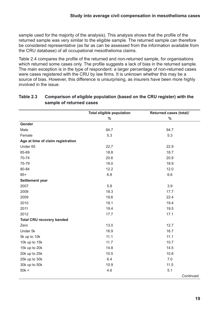<span id="page-18-0"></span>sample used for the majority of the analysis). This analysis shows that the profile of the returned sample was very similar to the eligible sample. The returned sample can therefore be considered representative (as far as can be assessed from the information available from the CRU database) of all occupational mesothelioma claims.

Table 2.4 compares the profile of the returned and non-returned sample, for organisations which returned some cases only. The profile suggests a lack of bias in the returned sample. The main exception is in the type of respondent: a larger percentage of non-returned cases were cases registered with the CRU by law firms. It is unknown whether this may be a source of bias. However, this difference is unsurprising, as insurers have been more highly involved in the issue.

|                                   | <b>Total eligible population</b> | Returned cases (total) <sup>1</sup> |
|-----------------------------------|----------------------------------|-------------------------------------|
|                                   | $\frac{0}{0}$                    | $\%$                                |
| Gender                            |                                  |                                     |
| Male                              | 94.7                             | 94.7                                |
| Female                            | 5.3                              | 5.3                                 |
| Age at time of claim registration |                                  |                                     |
| Under 65                          | 22.7                             | 22.9                                |
| 65-69                             | 18.8                             | 18.7                                |
| 70-74                             | 20.6                             | 20.9                                |
| 75-79                             | 19.0                             | 18.9                                |
| 80-84                             | 12.2                             | 12.0                                |
| $85+$                             | 6.8                              | 6.6                                 |
| Settlement year                   |                                  |                                     |
| 2007                              | 5.8                              | 3.9                                 |
| 2008                              | 18.3                             | 17.7                                |
| 2009                              | 19.6                             | 22.4                                |
| 2010                              | 19.1                             | 19.4                                |
| 2011                              | 19.4                             | 19.5                                |
| 2012                              | 17.7                             | 17.1                                |
| <b>Total CRU recovery banded</b>  |                                  |                                     |
| Zero                              | 13.0                             | 12.7                                |
| Under 5k                          | 16.9                             | 16.7                                |
| 5k up to 10k                      | 11.1                             | 11.1                                |
| 10k up to 15k                     | 11.7                             | 10.7                                |
| 15k up to 20k                     | 14.8                             | 14.5                                |
| 20k up to 25k                     | 10.5                             | 10.8                                |
| 25k up to 30k                     | 6.4                              | 7.0                                 |
| 30k up to 50k                     | 10.9                             | 11.5                                |
| $50k +$                           | 4.6                              | 5.1                                 |
|                                   |                                  | Continued                           |

#### **Table 2.3 Comparison of eligible population (based on the CRU register) with the sample of returned cases**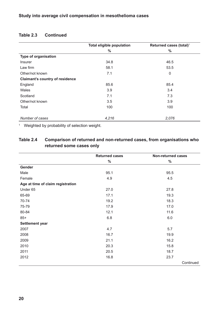|                                        | <b>Total eligible population</b> | Returned cases (total) <sup>1</sup> |
|----------------------------------------|----------------------------------|-------------------------------------|
|                                        | $\frac{0}{0}$                    | $\%$                                |
| Type of organisation                   |                                  |                                     |
| <b>Insurer</b>                         | 34.8                             | 46.5                                |
| Law firm                               | 58.1                             | 53.5                                |
| Other/not known                        | 7.1                              | 0                                   |
| <b>Claimant's country of residence</b> |                                  |                                     |
| England                                | 85.6                             | 85.4                                |
| Wales                                  | 3.9                              | 3.4                                 |
| Scotland                               | 7.1                              | 7.3                                 |
| Other/not known                        | 3.5                              | 3.9                                 |
| Total                                  | 100                              | 100                                 |
|                                        |                                  |                                     |
| Number of cases                        | 4,216                            | 2,076                               |

#### <span id="page-19-0"></span>**Table 2.3 Continued**

<sup>1</sup> Weighted by probability of selection weight.

#### **Table 2.4 Comparison of returned and non-returned cases, from organisations who returned some cases only**

|                                   | <b>Returned cases</b> | <b>Non-returned cases</b> |
|-----------------------------------|-----------------------|---------------------------|
|                                   | $\%$                  | $\%$                      |
| Gender                            |                       |                           |
| Male                              | 95.1                  | 95.5                      |
| Female                            | 4.9                   | 4.5                       |
| Age at time of claim registration |                       |                           |
| Under 65                          | 27.0                  | 27.8                      |
| 65-69                             | 17.1                  | 19.3                      |
| 70-74                             | 19.2                  | 18.3                      |
| 75-79                             | 17.9                  | 17.0                      |
| 80-84                             | 12.1                  | 11.6                      |
| $85+$                             | 6.8                   | 6.0                       |
| Settlement year                   |                       |                           |
| 2007                              | 4.7                   | 5.7                       |
| 2008                              | 16.7                  | 19.9                      |
| 2009                              | 21.1                  | 16.2                      |
| 2010                              | 20.3                  | 15.8                      |
| 2011                              | 20.5                  | 18.7                      |
| 2012                              | 16.8                  | 23.7                      |
|                                   |                       | Continued                 |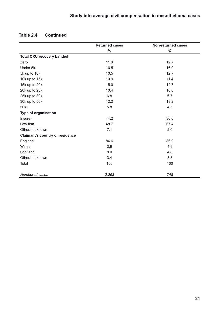|                                        | <b>Returned cases</b> | <b>Non-returned cases</b> |
|----------------------------------------|-----------------------|---------------------------|
|                                        | %                     | $\%$                      |
| <b>Total CRU recovery banded</b>       |                       |                           |
| Zero                                   | 11.8                  | 12.7                      |
| Under 5k                               | 16.5                  | 16.0                      |
| 5k up to 10k                           | 10.5                  | 12.7                      |
| 10k up to 15k                          | 10.9                  | 11.4                      |
| 15k up to 20k                          | 15.0                  | 12.7                      |
| 20k up to 25k                          | 10.4                  | 10.0                      |
| 25k up to 30k                          | 6.8                   | 6.7                       |
| 30k up to 50k                          | 12.2                  | 13.2                      |
| $50k+$                                 | 5.8                   | 4.5                       |
| <b>Type of organisation</b>            |                       |                           |
| Insurer                                | 44.2                  | 30.6                      |
| Law firm                               | 48.7                  | 67.4                      |
| Other/not known                        | 7.1                   | 2.0                       |
| <b>Claimant's country of residence</b> |                       |                           |
| England                                | 84.6                  | 86.9                      |
| Wales                                  | 3.9                   | 4.9                       |
| Scotland                               | 8.0                   | 4.8                       |
| Other/not known                        | 3.4                   | 3.3                       |
| Total                                  | 100                   | 100                       |
|                                        |                       |                           |
| Number of cases                        | 2,293                 | 748                       |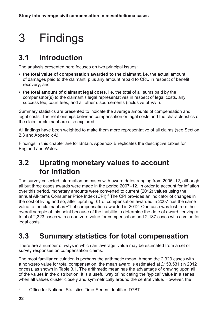# <span id="page-21-0"></span>3 Findings

## **3.1 Introduction**

The analysis presented here focuses on two principal issues:

- **the total value of compensation awarded to the claimant**, i.e. the actual amount of damages paid to the claimant, plus any amount repaid to CRU in respect of benefit recovery; and
- **the total amount of claimant legal costs**, i.e. the total of all sums paid by the compensator(s) to the claimant's legal representatives in respect of legal costs, any success fee, court fees, and all other disbursements (inclusive of VAT).

Summary statistics are presented to indicate the average amounts of compensation and legal costs. The relationships between compensation or legal costs and the characteristics of the claim or claimant are also explored.

All findings have been weighted to make them more representative of all claims (see Section 2.3 and Appendix A).

Findings in this chapter are for Britain. Appendix B replicates the descriptive tables for England and Wales.

### **3.2 Uprating monetary values to account for inflation**

The survey collected information on cases with award dates ranging from 2005–12, although all but three cases awards were made in the period 2007–12. In order to account for inflation over this period, monetary amounts were converted to current (2012) values using the annual All-items Consumer Price Index (CPI).<sup>6</sup> The CPI provides an indicator of changes in the cost of living and so, after uprating, £1 of compensation awarded in 2007 has the same value to the claimant as £1 of compensation awarded in 2012. One case was lost from the overall sample at this point because of the inability to determine the date of award, leaving a total of 2,323 cases with a non-zero value for compensation and 2,187 cases with a value for legal costs.

### **3.3 Summary statistics for total compensation**

There are a number of ways in which an 'average' value may be estimated from a set of survey responses on compensation claims.

The most familiar calculation is perhaps the arithmetic mean. Among the 2,323 cases with a non-zero value for total compensation, the mean award is estimated at £153,531 (in 2012 prices), as shown in Table 3.1. The arithmetic mean has the advantage of drawing upon all of the values in the distribution. It is a useful way of indicating the 'typical' value in a series when all values cluster closely and symmetrically around the central value. However, the

<sup>6</sup> Office for National Statistics Time-Series Identifier: D7BT.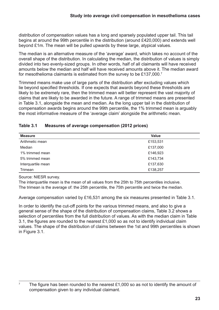<span id="page-22-0"></span>distribution of compensation values has a long and sparsely populated upper tail. This tail begins at around the 99th percentile in the distribution (around £420,000) and extends well beyond £1m. The mean will be pulled upwards by these large, atypical values.

The median is an alternative measure of the 'average' award, which takes no account of the overall shape of the distribution. In calculating the median, the distribution of values is simply divided into two evenly-sized groups. In other words, half of all claimants will have received amounts below the median and half will have received amounts above it. The median award for mesothelioma claimants is estimated from the survey to be £137,000.7

Trimmed means make use of large parts of the distribution after excluding values which lie beyond specified thresholds. If one expects that awards beyond these thresholds are likely to be extremely rare, then the trimmed mean will better represent the vast majority of claims that are likely to be awarded in the future. A range of trimmed means are presented in Table 3.1, alongside the mean and median. As the long upper tail in the distribution of compensation awards begins around the 99th percentile, the 1% trimmed mean is arguably the most informative measure of the 'average claim' alongside the arithmetic mean.

| Table 3.1 | <b>Measures of average compensation (2012 prices)</b> |  |
|-----------|-------------------------------------------------------|--|
|-----------|-------------------------------------------------------|--|

| <b>Measure</b>     | <b>Value</b> |
|--------------------|--------------|
| Arithmetic mean    | £153,531     |
| Median             | £137,000     |
| 1% trimmed mean    | £146,923     |
| 5% trimmed mean    | £143,734     |
| Interquartile mean | £137,630     |
| Trimean            | £138,257     |

Source: NIESR survey.

The interquartile mean is the mean of all values from the 25th to 75th percentiles inclusive. The trimean is the average of: the 25th percentile, the 75th percentile and twice the median.

Average compensation varied by £16,531 among the six measures presented in Table 3.1.

In order to identify the cut-off points for the various trimmed means, and also to give a general sense of the shape of the distribution of compensation claims, Table 3.2 shows a selection of percentiles from the full distribution of values. As with the median claim in Table 3.1, the figures are rounded to the nearest £1,000 so as not to identify individual claim values. The shape of the distribution of claims between the 1st and 99th percentiles is shown in Figure 3.1.

<sup>&</sup>lt;sup>7</sup> The figure has been rounded to the nearest £1,000 so as not to identify the amount of compensation given to any individual claimant.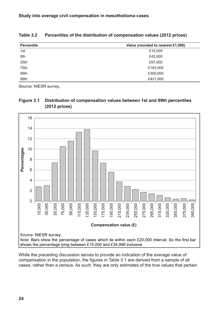| <b>Percentile</b> | Value (rounded to nearest £1,000) |
|-------------------|-----------------------------------|
| 1st               | £15,000                           |
| 5th               | £43,000                           |
| 25th              | £97,000                           |
| 75th              | £183,000                          |
| 95th              | £300,000                          |
| 99th              | £421,000                          |

<span id="page-23-0"></span>**Table 3.2 Percentiles of the distribution of compensation values (2012 prices)**

Source: NIESR survey.





While the preceding discussion serves to provide an indication of the average value of compensation in the population, the figures in Table 3.1 are derived from a sample of all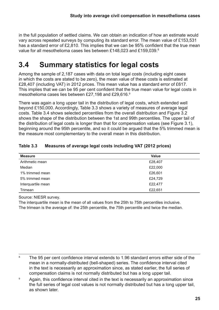<span id="page-24-0"></span>in the full population of settled claims. We can obtain an indication of how an estimate would vary across repeated surveys by computing its standard error. The mean value of £153,531 has a standard error of £2,810. This implies that we can be 95% confident that the true mean value for all mesothelioma cases lies between £148,023 and £159,039.8

## **3.4 Summary statistics for legal costs**

Among the sample of 2,187 cases with data on total legal costs (including eight cases in which the costs are stated to be zero), the mean value of these costs is estimated at £28,407 (including VAT) in 2012 prices. This mean value has a standard error of £617. This implies that we can be 95 per cent confident that the true mean value for legal costs in mesothelioma cases lies between £27,198 and £29,616.9

There was again a long upper tail in the distribution of legal costs, which extended well beyond £150,000. Accordingly, Table 3.3 shows a variety of measures of average legal costs. Table 3.4 shows selected percentiles from the overall distribution and Figure 3.2 shows the shape of the distribution between the 1st and 99th percentiles. The upper tail of the distribution of legal costs is longer than that for compensation values (see Figure 3.1), beginning around the 95th percentile, and so it could be argued that the 5% trimmed mean is the measure most complementary to the overall mean in this distribution.

| <b>Measure</b>     | <b>Value</b> |
|--------------------|--------------|
| Arithmetic mean    | £28,407      |
| Median             | £22,000      |
| 1% trimmed mean    | £26,601      |
| 5% trimmed mean    | £24,729      |
| Interquartile mean | £22,477      |
| Trimean            | £22,651      |

#### **Table 3.3 Measures of average legal costs including VAT (2012 prices)**

Source: NIESR survey.

The interquartile mean is the mean of all values from the 25th to 75th percentiles inclusive. The trimean is the average of: the 25th percentile, the 75th percentile and twice the median.

<sup>&</sup>lt;sup>8</sup> The 95 per cent confidence interval extends to 1.96 standard errors either side of the mean in a normally-distributed (bell-shaped) series. The confidence interval cited in the text is necessarily an approximation since, as stated earlier, the full series of compensation claims is not normally distributed but has a long upper tail.

<sup>&</sup>lt;sup>9</sup> Again, this confidence interval cited in the text is necessarily an approximation since the full series of legal cost values is not normally distributed but has a long upper tail, as shown later.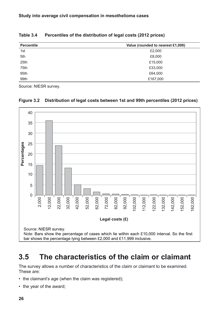| <b>Percentile</b> | Value (rounded to nearest £1,000) |
|-------------------|-----------------------------------|
| 1st               | £2,000                            |
| 5th               | £8,000                            |
| 25th              | £15,000                           |
| 75th              | £33,000                           |
| 95th              | £64,000                           |
| 99th              | £167,000                          |

#### <span id="page-25-0"></span>**Table 3.4 Percentiles of the distribution of legal costs (2012 prices)**

Source: NIESR survey.



#### **Figure 3.2 Distribution of legal costs between 1st and 99th percentiles (2012 prices)**

### **3.5 The characteristics of the claim or claimant**

The survey allows a number of characteristics of the claim or claimant to be examined. These are:

- the claimant's age (when the claim was registered);
-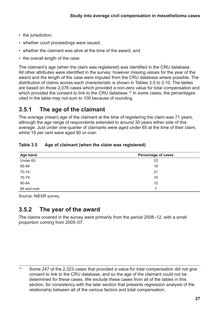- <span id="page-26-0"></span>• the jurisdiction;
- whether court proceedings were issued;
- whether the claimant was alive at the time of the award; and
- the overall length of the case.

The claimant's age (when the claim was registered) was identified in the CRU database. All other attributes were identified in the survey; however missing values for the year of the award and the length of the case were imputed from the CRU database where possible. The distribution of claims across each characteristic is shown in Tables 3.5 to 3.10. The tables are based on those 2,076 cases which provided a non-zero value for total compensation and which provided the consent to link to the CRU database.<sup>10</sup> In some cases, the percentages cited in the table may not sum to 100 because of rounding.

### **3.5.1 The age of the claimant**

The average (mean) age of the claimant at the time of registering the claim was 71 years, although the age range of respondents extended to around 30 years either side of this average. Just under one-quarter of claimants were aged under 65 at the time of their claim, whilst 19 per cent were aged 80 or over.

| Age band    | <b>Percentage of cases</b> |
|-------------|----------------------------|
| Under 65    | 23                         |
| 65-69       | 19                         |
| 70-74       | 21                         |
| 75-79       | 19                         |
| 80-84       | 12                         |
| 85 and over |                            |

#### **Table 3.5 Age of claimant (when the claim was registered)**

Source: NIESR survey.

### **3.5.2 The year of the award**

The claims covered in the survey were primarily from the period 2008–12, with a small proportion coming from 2005–07.

<sup>&</sup>lt;sup>10</sup> Some 247 of the 2,323 cases that provided a value for total compensation did not give consent to link to the CRU database, and so the age of the claimant could not be determined for these cases. We exclude these cases from all of the tables in this section, for consistency with the later section that presents regression analysis of the relationship between all of the various factors and total compensation.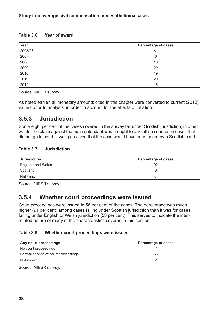#### <span id="page-27-0"></span>**Table 3.6 Year of award**

| Year    | <b>Percentage of cases</b> |
|---------|----------------------------|
| 2005/06 | $<$ 1                      |
| 2007    | 6                          |
| 2008    | 18                         |
| 2009    | 20                         |
| 2010    | 19                         |
| 2011    | 20                         |
| 2012    | 16                         |

Source: NIESR survey.

As noted earlier, all monetary amounts cited in this chapter were converted to current (2012) values prior to analysis, in order to account for the effects of inflation.

### **3.5.3 Jurisdiction**

Some eight per cent of the cases covered in the survey fell under Scottish jurisdiction; in other words, the claim against the main defendant was brought to a Scottish court or, in cases that did not go to court, it was perceived that the case would have been heard by a Scottish court.

#### **Table 3.7 Jurisdiction**

| <b>Jurisdiction</b>      | <b>Percentage of cases</b> |
|--------------------------|----------------------------|
| <b>England and Wales</b> | 92                         |
| Scotland                 | 8                          |
| Not known                | <1                         |

Source: NIESR survey.

### **3.5.4 Whether court proceedings were issued**

Court proceedings were issued in 56 per cent of the cases. The percentage was much higher (91 per cent) among cases falling under Scottish jurisdiction than it was for cases falling under English or Welsh jurisdiction (53 per cent). This serves to indicate the interrelated nature of many of the characteristics covered in this section.

#### **Table 3.8 Whether court proceedings were issued**

| Any court proceedings               | <b>Percentage of cases</b> |
|-------------------------------------|----------------------------|
| No court proceedings                | 41                         |
| Formal service of court proceedings | 56                         |
| Not known                           |                            |
|                                     |                            |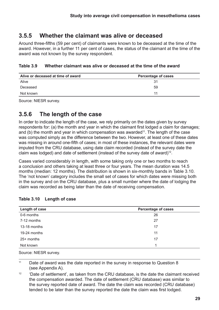### <span id="page-28-0"></span>**3.5.5 Whether the claimant was alive or deceased**

Around three-fifths (59 per cent) of claimants were known to be deceased at the time of the award. However, in a further 11 per cent of cases, the status of the claimant at the time of the award was not known by the survey respondent.

#### **Table 3.9 Whether claimant was alive or deceased at the time of the award**

| Alive or deceased at time of award | <b>Percentage of cases</b> |  |
|------------------------------------|----------------------------|--|
| Alive                              | -31                        |  |
| Deceased                           | 59                         |  |
| Not known                          | 11                         |  |

Source: NIESR survey.

### **3.5.6 The length of the case**

In order to indicate the length of the case, we rely primarily on the dates given by survey respondents for: (a) the month and year in which the claimant first lodged a claim for damages; and (b) the month and year in which compensation was awarded<sup>11</sup>. The length of the case was computed simply as the difference between the two. However, at least one of these dates was missing in around one-fifth of cases; in most of these instances, the relevant dates were imputed from the CRU database, using date claim recorded (instead of the survey date the claim was lodged) and date of settlement (instead of the survey date of award)<sup>12</sup>.

Cases varied considerably in length, with some taking only one or two months to reach a conclusion and others taking at least three or four years. The mean duration was 14.5 months (median: 12 months). The distribution is shown in six-monthly bands in Table 3.10. The 'not known' category includes the small set of cases for which dates were missing both in the survey and on the CRU database, plus a small number where the date of lodging the claim was recorded as being later than the date of receiving compensation.

| Length of case<br><b>Percentage of cases</b> |    |
|----------------------------------------------|----|
| 0-6 months                                   | 26 |
| 7-12 months                                  | 27 |
| 13-18 months                                 | 17 |
| 19-24 months                                 | 11 |
| 25+ months                                   | 17 |
| Not known                                    |    |

#### **Table 3.10 Length of case**

Source: NIESR survey.

<sup>11</sup> Date of award was the date reported in the survey in response to Question 8 (see Appendix A).

 $12$  'Date of settlement', as taken from the CRU database, is the date the claimant received the compensation awarded. The date of settlement (CRU database) was similar to the survey reported date of award. The date the claim was recorded (CRU database) tended to be later than the survey reported the date the claim was first lodged.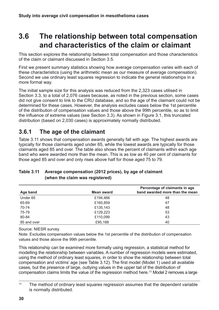### <span id="page-29-0"></span>**3.6 The relationship between total compensation and characteristics of the claim or claimant**

This section explores the relationship between total compensation and those characteristics of the claim or claimant discussed in Section 3.5.

First we present summary statistics showing how average compensation varies with each of these characteristics (using the arithmetic mean as our measure of average compensation). Second we use ordinary least squares regression to indicate the general relationships in a more formal way.

The initial sample size for this analysis was reduced from the 2,323 cases utilised in Section 3.3, to a total of 2,076 cases because, as noted in the previous section, some cases did not give consent to link to the CRU database, and so the age of the claimant could not be determined for these cases. However, the analysis excludes cases below the 1st percentile of the distribution of compensation values and those above the 99th percentile, so as to limit the influence of extreme values (see Section 3.3). As shown in Figure 3.1, this truncated distribution (based on 2,030 cases) is approximately normally distributed.

### **3.6.1 The age of the claimant**

Table 3.11 shows that compensation awards generally fall with age. The highest awards are typically for those claimants aged under 65, while the lowest awards are typically for those claimants aged 85 and over. The table also shows the percent of claimants within each age band who were awarded more than the mean. This is as low as 40 per cent of claimants for those aged 85 and over and only rises above half for those aged 75 to 79.

| Age band    | Mean award | Percentage of claimants in age<br>band awarded more than the mean |
|-------------|------------|-------------------------------------------------------------------|
| Under 65    | £194,466   | 48                                                                |
| 65-69       | £160,859   | 47                                                                |
| 70-74       | £135,143   | 48                                                                |
| 75-79       | £129,223   | 53                                                                |
| 80-84       | £110,099   | 43                                                                |
| 85 and over | £95,188    | 40                                                                |

#### **Table 3.11 Average compensation (2012 prices), by age of claimant (when the claim was registered)**

Source: NIESR survey.

Note: Excludes compensation values below the 1st percentile of the distribution of compensation values and those above the 99th percentile.

This relationship can be examined more formally using regression, a statistical method for modelling the relationship between variables. A number of regression models were estimated, using the method of ordinary least squares, in order to show the relationship between total compensation and victims' age (see Table 3.12). The first model (Model 1) used all available cases, but the presence of large, outlying values in the upper tail of the distribution of compensation claims limits the value of the regression method here.13 Model 2 removes a large

 $13$  The method of ordinary least squares regression assumes that the dependent variable is normally distributed.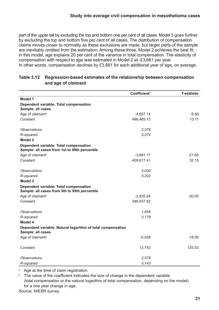<span id="page-30-0"></span>part of the upper tail by excluding the top and bottom one per cent of all cases. Model 3 goes further by excluding the top and bottom five per cent of all cases. The distribution of compensation claims moves closer to normality as these exclusions are made, but larger parts of the sample are inevitably omitted from the estimation. Among these three, Model 2 achieves the best fit; in this model, age explains 20 per cent of the variance in total compensation. The elasticity of compensation with respect to age was estimated in Model 2 at -£3,681 per year. In other words, compensation declines by £3,681 for each additional year of age, on average.

|                                                                                         | Coefficient <sup>b</sup> | <b>T-statistic</b> |
|-----------------------------------------------------------------------------------------|--------------------------|--------------------|
| Model 1                                                                                 |                          |                    |
| Dependent variable: Total compensation<br>Sample: all cases                             |                          |                    |
| Age of claimant <sup>a</sup>                                                            | $-4,657.14$              | $-9.50$            |
| Constant                                                                                | 486,465.13               | 13.11              |
| <b>Observations</b>                                                                     | 2,076                    |                    |
| R-squared                                                                               | 0.074                    |                    |
| Model 2                                                                                 |                          |                    |
| Dependent variable: Total compensation<br>Sample: all cases from 1st to 99th percentile |                          |                    |
| Age of claimant <sup>a</sup>                                                            | $-3,681.17$              | $-21.65$           |
| Constant                                                                                | 409,617.41               | 32.15              |
| <b>Observations</b>                                                                     | 2,030                    |                    |
| R-squared                                                                               | 0.202                    |                    |
| <b>Model 3</b>                                                                          |                          |                    |
| Dependent variable: Total compensation<br>Sample: all cases from 5th to 95th percentile |                          |                    |
| Age of claimant <sup>a</sup>                                                            | $-2,835.24$              | $-20.00$           |
| Constant                                                                                | 346,937.82               |                    |
| <i><b>Observations</b></i>                                                              | 1,856                    |                    |
| R-squared                                                                               | 0.179                    |                    |
| Model 4                                                                                 |                          |                    |
| Dependent variable: Natural logarithm of total compensation<br>Sample: all cases        |                          |                    |
| Age of claimant <sup>a</sup>                                                            | $-0.028$                 | $-18.09$           |
| Constant                                                                                | 13.743                   | 125.53             |
| <b>Observations</b>                                                                     | 2,076                    |                    |
| R-squared                                                                               | 0.143                    |                    |

#### **Table 3.12 Regression-based estimates of the relationship between compensation and age of claimant**

<sup>a</sup> Age at the time of claim registration.

 $b$  The value of the coefficient indicates the size of change in the dependent variable (total compensation or the natural logarithm of total compensation, depending on the model) for a one year change in age.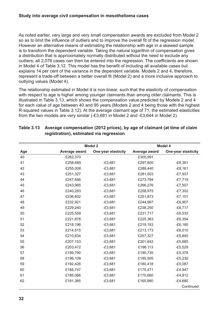<span id="page-31-0"></span>As noted earlier, very large and very small compensation awards are excluded from Model 2 so as to limit the influence of outliers and to improve the overall fit of the regression model. However an alternative means of estimating the relationship with age in a skewed sample is to transform the dependent variable. Taking the natural logarithm of compensation gives a distribution that is approximately normally distributed without the need to exclude any outliers; all 2,076 cases can then be entered into the regression. The coefficients are shown in Model 4 of Table 3.12. This model has the benefit of including all available cases but explains 14 per cent of the variance in the dependent variable. Models 2 and 4, therefore, represent a trade-off between a better overall fit (Model 2) and a more inclusive approach to outlying values (Model 4).

The relationship estimated in Model 4 is non-linear, such that the elasticity of compensation with respect to age is higher among younger claimants than among older claimants. This is illustrated in Table 3.13, which shows the compensation value predicted by Models 2 and 4 for each value of age between 40 and 95 years (Models 2 and 4 being those with the highest R-squared values in Table 3.12). At the average claimant age of 71, the estimated elasticities from the two models are very similar (-£3,681 in Model 2 and -£3,644 in Model 2).

|     |               | <b>Model 2</b>             |               | Model 4                    |
|-----|---------------|----------------------------|---------------|----------------------------|
| Age | Average award | <b>One-year elasticity</b> | Average award | <b>One-year elasticity</b> |
| 40  | £262,370      |                            | £305,991      |                            |
| 41  | £258,689      | $-£3,681$                  | £297,600      | $-E8,391$                  |
| 42  | £255,008      | $-£3,681$                  | £289,440      | $-£8,161$                  |
| 43  | £251,327      | $-£3,681$                  | £281,503      | $-E7,937$                  |
| 44  | £247,646      | $-£3,681$                  | £273,784      | $-£7,719$                  |
| 45  | £243,965      | $-£3,681$                  | £266,276      | $-E7,507$                  |
| 46  | £240,283      | $-£3,681$                  | £258,975      | $-E7,302$                  |
| 47  | £236,602      | $-£3,681$                  | £251,873      | $-£7,101$                  |
| 48  | £232,921      | $-£3,681$                  | £244,967      | $-E6,907$                  |
| 49  | £229,240      | $-£3,681$                  | £238,250      | $-£6,717$                  |
| 50  | £225,559      | $-£3,681$                  | £231,717      | $-E6,533$                  |
| 51  | £221,878      | $-£3,681$                  | £225,363      | $-E6,354$                  |
| 52  | £218,196      | $-£3,681$                  | £219,183      | $-E6,180$                  |
| 53  | £214,515      | $-£3,681$                  | £213,173      | $-E6,010$                  |
| 54  | £210,834      | $-£3,681$                  | £207,327      | $-£5,845$                  |
| 55  | £207,153      | $-£3,681$                  | £201,642      | $-£5,685$                  |
| 56  | £203,472      | $-£3,681$                  | £196,113      | $-£5,529$                  |
| 57  | £199,790      | $-£3,681$                  | £190,735      | $-E5,378$                  |
| 58  | £196,109      | $-£3,681$                  | £185,505      | $-£5,230$                  |
| 59  | £192,428      | $-£3,681$                  | £180,418      | $-£5,087$                  |
| 60  | £188,747      | $-£3,681$                  | £175,471      | $-£4,947$                  |
| 61  | £185,066      | $-£3,681$                  | £170,660      | $-£4,812$                  |
| 62  | £181,385      | $-£3,681$                  | £165,980      | $-E4,680$                  |
|     |               |                            |               | Continued                  |

#### **Table 3.13 Average compensation (2012 prices), by age of claimant (at time of claim registration), estimated via regression**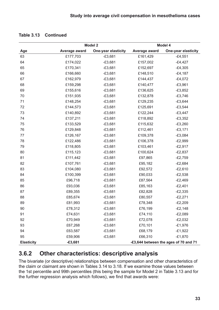|                   | Model 2       |                            | Model 4       |                                       |
|-------------------|---------------|----------------------------|---------------|---------------------------------------|
| Age               | Average award | <b>One-year elasticity</b> | Average award | <b>One-year elasticity</b>            |
| 63                | £177,703      | $-£3,681$                  | £161,429      | $-£4,551$                             |
| 64                | £174,022      | $-£3,681$                  | £157,002      | $-£4,427$                             |
| 65                | £170,341      | $-£3,681$                  | £152,697      | $-E4,305$                             |
| 66                | £166,660      | $-£3,681$                  | £148,510      | $-E4,187$                             |
| 67                | £162,979      | $-£3,681$                  | £144,437      | $-£4,072$                             |
| 68                | £159,298      | $-£3,681$                  | £140,477      | $-£3,961$                             |
| 69                | £155,616      | $-£3,681$                  | £136,625      | $-£3,852$                             |
| 70                | £151,935      | $-£3,681$                  | £132,878      | $-£3,746$                             |
| 71                | £148,254      | $-£3,681$                  | £129,235      | $-£3,644$                             |
| 72                | £144,573      | $-£3,681$                  | £125,691      | $-£3,544$                             |
| 73                | £140,892      | $-£3,681$                  | £122,244      | $-£3,447$                             |
| 74                | £137,211      | $-£3,681$                  | £118,892      | $-£3,352$                             |
| 75                | £133,529      | $-£3,681$                  | £115,632      | $-£3,260$                             |
| 76                | £129,848      | $-£3,681$                  | £112,461      | $-£3,171$                             |
| 77                | £126,167      | $-£3,681$                  | £109,378      | $-£3,084$                             |
| 78                | £122,486      | $-£3,681$                  | £106,378      | $-E2,999$                             |
| 79                | £118,805      | $-£3,681$                  | £103,461      | $-E2,917$                             |
| 80                | £115,123      | $-£3,681$                  | £100,624      | $-E2,837$                             |
| 81                | £111,442      | $-£3,681$                  | £97,865       | $-E2,759$                             |
| 82                | £107,761      | $-£3,681$                  | £95,182       | $-E2,684$                             |
| 83                | £104,080      | $-£3,681$                  | £92,572       | $-E2,610$                             |
| 84                | £100,399      | $-£3,681$                  | £90,033       | $-E2,538$                             |
| 85                | £96,718       | $-£3,681$                  | £87,564       | $-E2,469$                             |
| 86                | £93,036       | $-£3,681$                  | £85,163       | $-E2,401$                             |
| 87                | £89,355       | $-£3,681$                  | £82,828       | $-E2,335$                             |
| 88                | £85,674       | $-£3,681$                  | £80,557       | $-E2,271$                             |
| 89                | £81,993       | $-£3,681$                  | £78,348       | $-E2,209$                             |
| 90                | £78,312       | $-£3,681$                  | £76,199       | $-E2,148$                             |
| 91                | £74,631       | $-£3,681$                  | £74,110       | $-E2,089$                             |
| 92                | £70,949       | $-£3,681$                  | £72,078       | $-E2,032$                             |
| 93                | £67,268       | $-£3,681$                  | £70,101       | $-£1,976$                             |
| 94                | £63,587       | $-£3,681$                  | £68,179       | $-£1,922$                             |
| 95                | £59,906       | $-£3,681$                  | £66,310       | $-£1,870$                             |
| <b>Elasticity</b> | $-£3,681$     |                            |               | -£3,644 between the ages of 70 and 71 |

<span id="page-32-0"></span>

### **3.6.2 Other characteristics: descriptive analysis**

The bivariate (or descriptive) relationships between compensation and other characteristics of the claim or claimant are shown in Tables 3.14 to 3.18. If we examine those values between the 1st percentile and 99th percentiles (this being the sample for Model 2 in Table 3.13 and for the further regression analysis which follows), we find that awards were: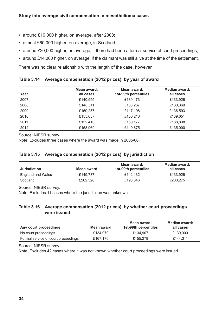- <span id="page-33-0"></span>• around £10,000 higher, on average, after 2008;
- almost £60,000 higher, on average, in Scotland;
- around £20,000 higher, on average, if there had been a formal service of court proceedings;
- around £14,000 higher, on average, if the claimant was still alive at the time of the settlement.

There was no clear relationship with the length of the case, however.

| Table 3.14 Average compensation (2012 prices), by year of award |  |
|-----------------------------------------------------------------|--|
|-----------------------------------------------------------------|--|

| Year | Mean award:<br>all cases | Mean award:<br>1st-99th percentiles | Median award:<br>all cases |
|------|--------------------------|-------------------------------------|----------------------------|
| 2007 | £140,555                 | £139,473                            | £133,926                   |
| 2008 | £148,511                 | £138,267                            | £130,369                   |
| 2009 | £159,257                 | £147,198                            | £136,593                   |
| 2010 | £155,657                 | £150,210                            | £139,651                   |
| 2011 | £152,410                 | £150,177                            | £138,838                   |
| 2012 | £158,969                 | £149,875                            | £135,000                   |

Source: NIESR survey.

Note: Excludes three cases where the award was made in 2005/06.

#### **Table 3.15 Average compensation (2012 prices), by jurisdiction**

|                          |            | Mean award:          | Median award: |
|--------------------------|------------|----------------------|---------------|
| <b>Jurisdiction</b>      | Mean award | 1st-99th percentiles | all cases     |
| <b>England and Wales</b> | £149.787   | £142.132             | £133.926      |
| Scotland                 | £202.320   | £198.646             | £200.275      |

Source: NIESR survey.

Note: Excludes 11 cases where the jurisdiction was unknown.

#### **Table 3.16 Average compensation (2012 prices), by whether court proceedings were issued**

| Any court proceedings               | Mean award | Mean award:<br>1st-99th percentiles | Median award:<br>all cases |
|-------------------------------------|------------|-------------------------------------|----------------------------|
| No court proceedings                | £134.970   | £134.907                            | £130,000                   |
| Formal service of court proceedings | £167.170   | £155,278                            | £144.311                   |

Source: NIESR survey.

Note: Excludes 42 cases where it was not known whether court proceedings were issued.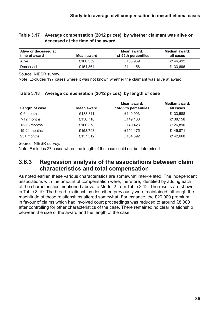#### <span id="page-34-0"></span>**Table 3.17 Average compensation (2012 prices), by whether claimant was alive or deceased at the time of the award**

| Alive or deceased at<br>time of award | Mean award | Mean award:<br>1st-99th percentiles | Median award:<br>all cases |
|---------------------------------------|------------|-------------------------------------|----------------------------|
| Alive                                 | £160.359   | £158.969                            | £146.492                   |
| Deceased                              | £154.864   | £144.456                            | £133,696                   |

Source: NIESR survey.

Note: Excludes 197 cases where it was not known whether the claimant was alive at award.

| Length of case | <b>Mean award</b> | Mean award:<br>1st-99th percentiles | Median award:<br>all cases |
|----------------|-------------------|-------------------------------------|----------------------------|
| 0-6 months     | £138,311          | £140,093                            | £133,588                   |
| 7-12 months    | £156,718          | £149,130                            | £138,158                   |
| 13-18 months   | £166,378          | £140,423                            | £126,890                   |
| 19-24 months   | £158,798          | £151,175                            | £145,871                   |
| 25+ months     | £157,512          | £154,892                            | £142,668                   |

#### **Table 3.18 Average compensation (2012 prices), by length of case**

Source: NIESR survey.

Note: Excludes 27 cases where the length of the case could not be determined.

### **3.6.3 Regression analysis of the associations between claim characteristics and total compensation**

As noted earlier, these various characteristics are somewhat inter-related. The independent associations with the amount of compensation were, therefore, identified by adding each of the characteristics mentioned above to Model 2 from Table 3.12. The results are shown in Table 3.19. The broad relationships described previously were maintained, although the magnitude of those relationships altered somewhat. For instance, the £20,000 premium in favour of claims which had involved court proceedings was reduced to around £8,000 after controlling for other characteristics of the case. There remained no clear relationship between the size of the award and the length of the case.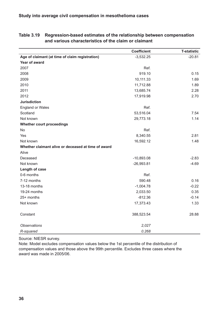|                                                     | <b>Coefficient</b> | <b>T-statistic</b> |
|-----------------------------------------------------|--------------------|--------------------|
| Age of claimant (at time of claim registration)     | $-3,532.25$        | $-20.81$           |
| Year of award                                       |                    |                    |
| 2007                                                | Ref.               |                    |
| 2008                                                | 919.10             | 0.15               |
| 2009                                                | 10,111.33          | 1.69               |
| 2010                                                | 11,712.88          | 1.89               |
| 2011                                                | 13,685.74          | 2.28               |
| 2012                                                | 17,919.98          | 2.70               |
| <b>Jurisdiction</b>                                 |                    |                    |
| <b>England or Wales</b>                             | Ref.               |                    |
| Scotland                                            | 53,516.04          | 7.54               |
| Not known                                           | 29,773.18          | 1.14               |
| Whether court proceedings                           |                    |                    |
| No                                                  | Ref.               |                    |
| Yes                                                 | 8,340.55           | 2.81               |
| Not known                                           | 16,592.12          | 1.48               |
| Whether claimant alive or deceased at time of award |                    |                    |
| Alive                                               |                    |                    |
| Deceased                                            | $-10,893.08$       | $-2.83$            |
| Not known                                           | $-26,993.81$       | $-4.69$            |
| Length of case                                      |                    |                    |
| 0-6 months                                          | Ref.               |                    |
| 7-12 months                                         | 590.48             | 0.16               |
| 13-18 months                                        | $-1,004.78$        | $-0.22$            |
| 19-24 months                                        | 2,033.50           | 0.35               |
| 25+ months                                          | $-812.36$          | $-0.14$            |
| Not known                                           | 17,373.43          | 1.33               |
|                                                     |                    |                    |
| Constant                                            | 388,523.54         | 28.88              |
| <b>Observations</b>                                 | 2,027              |                    |
| R-squared                                           | 0.268              |                    |

#### <span id="page-35-0"></span>**Table 3.19 Regression-based estimates of the relationship between compensation and various characteristics of the claim or claimant**

Source: NIESR survey.

Note: Model excludes compensation values below the 1st percentile of the distribution of compensation values and those above the 99th percentile. Excludes three cases where the award was made in 2005/06.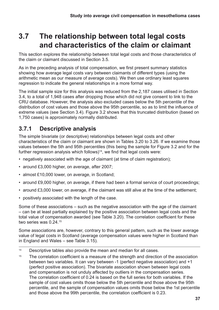### <span id="page-36-0"></span>**3.7 The relationship between total legal costs and characteristics of the claim or claimant**

This section explores the relationship between total legal costs and those characteristics of the claim or claimant discussed in Section 3.5.

As in the preceding analysis of total compensation, we first present summary statistics showing how average legal costs vary between claimants of different types (using the arithmetic mean as our measure of average costs). We then use ordinary least squares regression to indicate the general relationships in a more formal way.

The initial sample size for this analysis was reduced from the 2,187 cases utilised in Section 3.4, to a total of 1,948 cases after dropping those which did not give consent to link to the CRU database. However, the analysis also excluded cases below the 5th percentile of the distribution of cost values and those above the 95th percentile, so as to limit the influence of extreme values (see Section 3.4). Figure 3.2 shows that this truncated distribution (based on 1,750 cases) is approximately normally distributed.

### **3.7.1 Descriptive analysis**

The simple bivariate (or descriptive) relationships between legal costs and other characteristics of the claim or claimant are shown in Tables 3.20 to 3.26. If we examine those values between the 5th and 95th percentiles (this being the sample for Figure 3.2 and for the further regression analysis which follows) $14$ , we find that legal costs were:

- negatively associated with the age of claimant (at time of claim registration);
- around £3,000 higher, on average, after 2007;
- almost £10,000 lower, on average, in Scotland;
- around £9,000 higher, on average, if there had been a formal service of court proceedings;
- around £3,000 lower, on average, if the claimant was still alive at the time of the settlement;
- positively associated with the length of the case.

Some of these associations – such as the negative association with the age of the claimant – can be at least partially explained by the positive association between legal costs and the total value of compensation awarded (see Table 3.20). The correlation coefficient for these two series was 0.24.15

Some associations are, however, contrary to this general pattern, such as the lower average value of legal costs in Scotland (average compensation values were higher in Scotland than in England and Wales – see Table 3.15).

- <sup>14</sup> Descriptive tables also provide the mean and median for all cases.
- $15$  The correlation coefficient is a measure of the strength and direction of the association between two variables. It can vary between -1 (perfect negative association) and +1 (perfect positive association). The bivariate association shown between legal costs and compensation is not unduly affected by outliers in the compensation series. The correlation coefficient of 0.24 is based on the full series for both variables. If the sample of cost values omits those below the 5th percentile and those above the 95th percentile, and the sample of compensation values omits those below the 1st percentile and those above the 99th percentile, the correlation coefficient is 0.23.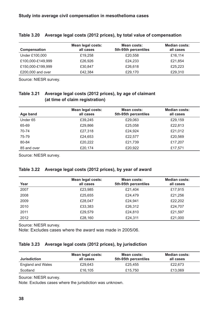| Compensation      | Mean legal costs:<br>all cases | Mean costs:<br>5th-95th percentiles | <b>Median costs:</b><br>all cases |
|-------------------|--------------------------------|-------------------------------------|-----------------------------------|
| Under £100,000    | £19,258                        | £20,558                             | £16,114                           |
| £100,000-£149,999 | £26,926                        | £24,233                             | £21,854                           |
| £150,000-£199,999 | £30,847                        | £26,618                             | £25,223                           |
| £200,000 and over | £42,384                        | £29,170                             | £29,310                           |

#### <span id="page-37-0"></span>**Table 3.20 Average legal costs (2012 prices), by total value of compensation**

Source: NIESR survey.

#### **Table 3.21 Average legal costs (2012 prices), by age of claimant (at time of claim registration)**

| Age band    | <b>Mean legal costs:</b><br>all cases | Mean costs:<br>5th-95th percentiles | <b>Median costs:</b><br>all cases |
|-------------|---------------------------------------|-------------------------------------|-----------------------------------|
| Under 65    | £39,245                               | £29,063                             | £29,159                           |
| 65-69       | £29,866                               | £25,058                             | £22,813                           |
| 70-74       | £27,318                               | £24,924                             | £21,012                           |
| 75-79       | £24,653                               | £22,577                             | £20,569                           |
| 80-84       | £20,222                               | £21,739                             | £17,207                           |
| 85 and over | £20,174                               | £20,922                             | £17,571                           |

Source: NIESR survey.

#### **Table 3.22 Average legal costs (2012 prices), by year of award**

| Year | <b>Mean legal costs:</b><br>all cases | Mean costs:<br>5th-95th percentiles | <b>Median costs:</b><br>all cases |
|------|---------------------------------------|-------------------------------------|-----------------------------------|
| 2007 | £23,985                               | £21,404                             | £17,915                           |
| 2008 | £25,655                               | £24,479                             | £21,256                           |
| 2009 | £28,047                               | £24,941                             | £22,202                           |
| 2010 | £33,383                               | £26,312                             | £24,707                           |
| 2011 | £29,579                               | £24,810                             | £21,597                           |
| 2012 | £28,160                               | £24,311                             | £21,000                           |

Source: NIESR survey.

Note: Excludes cases where the award was made in 2005/06.

#### **Table 3.23 Average legal costs (2012 prices), by jurisdiction**

| <b>Jurisdiction</b>      | Mean legal costs:<br>all cases | Mean costs:<br>5th-95th percentiles | Median costs:<br>all cases |
|--------------------------|--------------------------------|-------------------------------------|----------------------------|
| <b>England and Wales</b> | £29.643                        | £25.455                             | £22,673                    |
| Scotland                 | £16,105                        | £15,750                             | £13.069                    |

Source: NIESR survey.

Note: Excludes cases where the jurisdiction was unknown.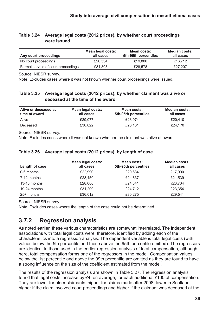<span id="page-38-0"></span>

|                                                                                           | Mean legal costs: | Mean costs: | <b>Median costs:</b> |
|-------------------------------------------------------------------------------------------|-------------------|-------------|----------------------|
| Table 3.24 Average legal costs (2012 prices), by whether court proceedings<br>were issued |                   |             |                      |

| Any court proceedings               | MEAN IEYAI LUSIS.<br>all cases | IVIUAII LUSIS.<br>5th-95th percentiles | IVIUUIDII LUSLS.<br>all cases |  |
|-------------------------------------|--------------------------------|----------------------------------------|-------------------------------|--|
| No court proceedings                | £20.534                        | £19,800                                | £16,712                       |  |
| Formal service of court proceedings | £34,805                        | £28,578                                | £27,207                       |  |

Source: NIESR survey.

Note: Excludes cases where it was not known whether court proceedings were issued.

#### **Table 3.25 Average legal costs (2012 prices), by whether claimant was alive or deceased at the time of the award**

| Alive or deceased at<br>time of award | Mean legal costs:<br>all cases | Mean costs:<br>5th-95th percentiles | <b>Median costs:</b><br>all cases |
|---------------------------------------|--------------------------------|-------------------------------------|-----------------------------------|
| Alive                                 | £29.077                        | £23.074                             | £20,410                           |
| Deceased                              | £30.022                        | £26,131                             | £24.170                           |

Source: NIESR survey.

Note: Excludes cases where it was not known whether the claimant was alive at award.

| Length of case | Mean legal costs:<br>all cases | Mean costs:<br>5th-95th percentiles | <b>Median costs:</b><br>all cases |
|----------------|--------------------------------|-------------------------------------|-----------------------------------|
| 0-6 months     | £22,990                        | £20,634                             | £17,990                           |
| 7-12 months    | £28,450                        | £24,637                             | £21,539                           |
| 13-18 months   | £28,080                        | £24,841                             | £23.734                           |
| 19-24 months   | £31,209                        | £24,712                             | £23,354                           |
| 25+ months     | £36,012                        | £30,275                             | £29,541                           |

#### **Table 3.26 Average legal costs (2012 prices), by length of case**

Source: NIESR survey.

Note: Excludes cases where the length of the case could not be determined.

### **3.7.2 Regression analysis**

As noted earlier, these various characteristics are somewhat interrelated. The independent associations with total legal costs were, therefore, identified by adding each of the characteristics into a regression analysis. The dependent variable is total legal costs (with values below the 5th percentile and those above the 95th percentile omitted). The regressors are identical to those used in the earlier regression analysis of total compensation, although here, total compensation forms one of the regressors in the model. Compensation values below the 1st percentile and above the 99th percentile are omitted as they are found to have a strong influence on the size of the coefficient estimated from the model.

The results of the regression analysis are shown in Table 3.27. The regression analysis found that legal costs increase by £4, on average, for each additional £100 of compensation. They are lower for older claimants, higher for claims made after 2008, lower in Scotland, higher if the claim involved court proceedings and higher if the claimant was deceased at the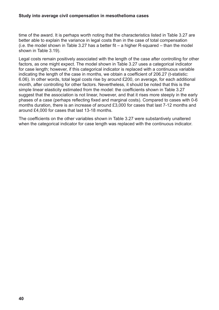time of the award. It is perhaps worth noting that the characteristics listed in Table 3.27 are better able to explain the variance in legal costs than in the case of total compensation  $(i.e.$  the model shown in Table 3.27 has a better fit – a higher R-squared – than the model shown in Table 3.19).

Legal costs remain positively associated with the length of the case after controlling for other factors, as one might expect. The model shown in Table 3.27 uses a categorical indicator for case length; however, if this categorical indicator is replaced with a continuous variable indicating the length of the case in months, we obtain a coefficient of 206.27 (t-statistic: 6.06). In other words, total legal costs rise by around £200, on average, for each additional month, after controlling for other factors. Nevertheless, it should be noted that this is the simple linear elasticity estimated from the model: the coefficients shown in Table 3.27 suggest that the association is not linear, however, and that it rises more steeply in the early phases of a case (perhaps reflecting fixed and marginal costs). Compared to cases with 0-6 months duration, there is an increase of around £3,000 for cases that last 7-12 months and around £4,000 for cases that last 13-18 months.

The coefficients on the other variables shown in Table 3.27 were substantively unaltered when the categorical indicator for case length was replaced with the continuous indicator.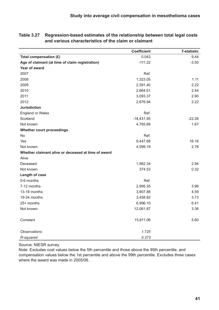|                                                     | <b>Coefficient</b> | <b>T-statistic</b> |
|-----------------------------------------------------|--------------------|--------------------|
| Total compensation (£)                              | 0.043              | 9.44               |
| Age of claimant (at time of claim registration)     | $-111.22$          | $-3.50$            |
| Year of award                                       |                    |                    |
| 2007                                                | Ref.               |                    |
| 2008                                                | 1,323.05           | 1.11               |
| 2009                                                | 2,391.40           | 2.22               |
| 2010                                                | 2,664.61           | 2.44               |
| 2011                                                | 3,093.37           | 2.90               |
| 2012                                                | 2,676.94           | 2.22               |
| <b>Jurisdiction</b>                                 |                    |                    |
| <b>England or Wales</b>                             | Ref.               |                    |
| Scotland                                            | $-18,431.95$       | $-22.26$           |
| Not known                                           | 4,765.69           | 1.67               |
| Whether court proceedings                           |                    |                    |
| No                                                  | Ref.               |                    |
| Yes                                                 | 9,447.68           | 16.16              |
| Not known                                           | 4,599.19           | 2.76               |
| Whether claimant alive or deceased at time of award |                    |                    |
| Alive                                               |                    |                    |
| Deceased                                            | 1,982.34           | 2.94               |
| Not known                                           | 374.53             | 0.32               |
| Length of case                                      |                    |                    |
| 0-6 months                                          | Ref.               |                    |
| 7-12 months                                         | 2,995.35           | 3.96               |
| 13-18 months                                        | 3,907.88           | 4.59               |
| 19-24 months                                        | 3,458.82           | 3.73               |
| 25+ months                                          | 6,996.10           | 6.41               |
| Not known                                           | 12,061.87          | 3.36               |
|                                                     |                    |                    |
| Constant                                            | 15,811.06          | 5.60               |
|                                                     |                    |                    |
| <b>Observations</b>                                 | 1.725              |                    |
| R-squared                                           | 0.373              |                    |

<span id="page-40-0"></span>**Table 3.27 Regression-based estimates of the relationship between total legal costs and various characteristics of the claim or claimant**

Source: NIESR survey.

Note: Excludes cost values below the 5th percentile and those above the 95th percentile, and compensation values below the 1st percentile and above the 99th percentile. Excludes three cases where the award was made in 2005/06.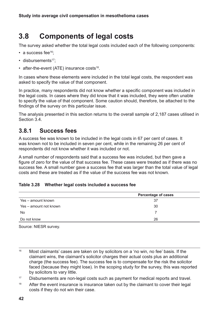### <span id="page-41-0"></span>**3.8 Components of legal costs**

The survey asked whether the total legal costs included each of the following components:

- a success fee<sup>16</sup>;
- disbursements<sup>17</sup>:
- after-the-event (ATE) insurance costs $18$ .

In cases where these elements were included in the total legal costs, the respondent was asked to specify the value of that component.

In practice, many respondents did not know whether a specific component was included in the legal costs. In cases where they did know that it was included, they were often unable to specify the value of that component. Some caution should, therefore, be attached to the findings of the survey on this particular issue.

The analysis presented in this section returns to the overall sample of 2,187 cases utilised in Section 3.4.

### **3.8.1 Success fees**

A success fee was known to be included in the legal costs in 67 per cent of cases. It was known not to be included in seven per cent, while in the remaining 26 per cent of respondents did not know whether it was included or not.

A small number of respondents said that a success fee was included, but then gave a figure of zero for the value of that success fee. These cases were treated as if there was no success fee. A small number gave a success fee that was larger than the total value of legal costs and these are treated as if the value of the success fee was not known.

#### **Table 3.28 Whether legal costs included a success fee**

|                        | <b>Percentage of cases</b> |
|------------------------|----------------------------|
| Yes - amount known     | 37                         |
| Yes – amount not known | 30                         |
| No                     |                            |
| Do not know            | 26                         |

Source: NIESR survey.

<sup>16</sup> Most claimants' cases are taken on by solicitors on a 'no win, no fee' basis. If the claimant wins, the claimant's solicitor charges their actual costs plus an additional charge (the success fee). The success fee is to compensate for the risk the solicitor faced (because they might lose). In the scoping study for the survey, this was reported by solicitors to vary little.

<sup>17</sup> Disbursements are non-legal costs such as payment for medical reports and travel.

 $18$  After the event insurance is insurance taken out by the claimant to cover their legal costs if they do not win their case.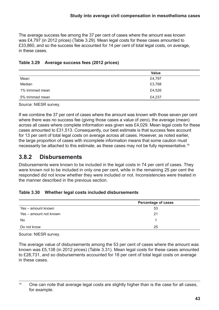<span id="page-42-0"></span>The average success fee among the 37 per cent of cases where the amount was known was £4,797 (in 2012 prices) (Table 3.29). Mean legal costs for these cases amounted to £33,860, and so the success fee accounted for 14 per cent of total legal costs, on average, in these cases.

#### **Table 3.29 Average success fees (2012 prices)**

|                 | <b>Value</b> |
|-----------------|--------------|
| Mean            | £4,797       |
| Median          | £3,788       |
| 1% trimmed mean | £4,526       |
| 5% trimmed mean | £4,237       |

Source: NIESR survey.

If we combine the 37 per cent of cases where the amount was known with those seven per cent where there was no success fee (giving those cases a value of zero), the average (mean) across all cases where complete information was given was £4,029. Mean legal costs for these cases amounted to £31,513. Consequently, our best estimate is that success fees account for 13 per cent of total legal costs on average across all cases. However, as noted earlier, the large proportion of cases with incomplete information means that some caution must necessarily be attached to this estimate, as these cases may not be fully representative.<sup>19</sup>

### **3.8.2 Disbursements**

Disbursements were known to be included in the legal costs in 74 per cent of cases. They were known not to be included in only one per cent, while in the remaining 25 per cent the responded did not know whether they were included or not. Inconsistencies were treated in the manner described in the previous section.

#### **Table 3.30 Whether legal costs included disbursements**

|                        | <b>Percentage of cases</b> |
|------------------------|----------------------------|
| Yes - amount known     | 53                         |
| Yes – amount not known | 21                         |
| No                     |                            |
| Do not know            | 25                         |

Source: NIESR survey.

The average value of disbursements among the 53 per cent of cases where the amount was known was £5,138 (in 2012 prices) (Table 3.31). Mean legal costs for these cases amounted to £28,731, and so disbursements accounted for 18 per cent of total legal costs on average in these cases.

 $19$  One can note that average legal costs are slightly higher than is the case for all cases. for example.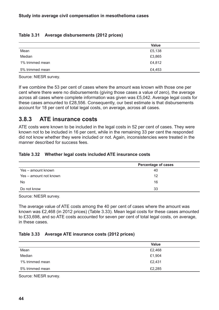#### <span id="page-43-0"></span>**Table 3.31 Average disbursements (2012 prices)**

|                 | <b>Value</b> |
|-----------------|--------------|
| Mean            | £5,138       |
| Median          | £3,865       |
| 1% trimmed mean | £4,812       |
| 5% trimmed mean | £4,453       |

Source: NIESR survey.

If we combine the 53 per cent of cases where the amount was known with those one per cent where there were no disbursements (giving those cases a value of zero), the average across all cases where complete information was given was £5,042. Average legal costs for these cases amounted to £28,556. Consequently, our best estimate is that disbursements account for 18 per cent of total legal costs, on average, across all cases.

### **3.8.3 ATE insurance costs**

ATE costs were known to be included in the legal costs in 52 per cent of cases. They were known not to be included in 16 per cent, while in the remaining 33 per cent the responded did not know whether they were included or not. Again, inconsistencies were treated in the manner described for success fees.

#### **Table 3.32 Whether legal costs included ATE insurance costs**

|                        | <b>Percentage of cases</b> |  |
|------------------------|----------------------------|--|
| Yes - amount known     | 40                         |  |
| Yes – amount not known | 12                         |  |
| <b>No</b>              | 16                         |  |
| Do not know            | 33                         |  |

Source: NIESR survey.

The average value of ATE costs among the 40 per cent of cases where the amount was known was £2,468 (in 2012 prices) (Table 3.33). Mean legal costs for these cases amounted to £33,698, and so ATE costs accounted for seven per cent of total legal costs, on average, in these cases.

#### **Table 3.33 Average ATE insurance costs (2012 prices)**

|                 | <b>Value</b> |
|-----------------|--------------|
| Mean            | £2,468       |
| Median          | £1,904       |
| 1% trimmed mean | £2,431       |
| 5% trimmed mean | £2,285       |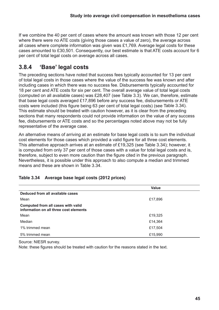<span id="page-44-0"></span>If we combine the 40 per cent of cases where the amount was known with those 12 per cent where there were no ATE costs (giving those cases a value of zero), the average across all cases where complete information was given was £1,769. Average legal costs for these cases amounted to £30,501. Consequently, our best estimate is that ATE costs account for 6 per cent of total legal costs on average across all cases.

### **3.8.4 'Base' legal costs**

The preceding sections have noted that success fees typically accounted for 13 per cent of total legal costs in those cases where the value of the success fee was known and after including cases in which there was no success fee. Disbursements typically accounted for 18 per cent and ATE costs for six per cent. The overall average value of total legal costs (computed on all available cases) was £28,407 (see Table 3.3). We can, therefore, estimate that base legal costs averaged £17,896 before any success fee, disbursements or ATE costs were included (this figure being 63 per cent of total legal costs) (see Table 3.34). This estimate should be treated with caution however, as it is clear from the preceding sections that many respondents could not provide information on the value of any success fee, disbursements or ATE costs and so the percentages noted above may not be fully representative of the average case.

An alternative means of arriving at an estimate for base legal costs is to sum the individual cost elements for those cases which provided a valid figure for all three cost elements. This alternative approach arrives at an estimate of £19,325 (see Table 3.34); however, it is computed from only 37 per cent of those cases with a value for total legal costs and is, therefore, subject to even more caution than the figure cited in the previous paragraph. Nevertheless, it is possible under this approach to also compute a median and trimmed means and these are shown in Table 3.34.

|                                                                              | <b>Value</b> |
|------------------------------------------------------------------------------|--------------|
| Deduced from all available cases                                             |              |
| Mean                                                                         | £17,896      |
| Computed from all cases with valid<br>information on all three cost elements |              |
| Mean                                                                         | £19,325      |
| Median                                                                       | £14,364      |
| 1% trimmed mean                                                              | £17,504      |
| 5% trimmed mean                                                              | £15,990      |

#### **Table 3.34 Average base legal costs (2012 prices)**

Source: NIESR survey.

Note: these figures should be treated with caution for the reasons stated in the text.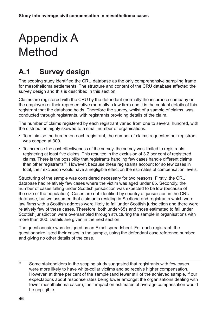# <span id="page-45-0"></span>Appendix A Method

## **A.1 Survey design**

The scoping study identified the CRU database as the only comprehensive sampling frame for mesothelioma settlements. The structure and content of the CRU database affected the survey design and this is described in this section.

Claims are registered with the CRU by the defendant (normally the insurance company or the employer) or their representative (normally a law firm) and it is the contact details of this registrant that the database holds. Therefore the survey, whilst of a sample of claims, was conducted through registrants, with registrants providing details of the claim.

The number of claims registered by each registrant varied from one to several hundred, with the distribution highly skewed to a small number of organisations.

- To minimise the burden on each registrant, the number of claims requested per registrant was capped at 300.
- To increase the cost-effectiveness of the survey, the survey was limited to registrants registering at least five claims. This resulted in the exclusion of 3.2 per cent of registered claims. There is the possibility that registrants handling few cases handle different claims than other registrants<sup>20</sup>. However, because these registrants account for so few cases in total, their exclusion would have a negligible effect on the estimates of compensation levels.

Structuring of the sample was considered necessary for two reasons: Firstly, the CRU database had relatively few cases where the victim was aged under 65. Secondly, the number of cases falling under Scottish jurisdiction was expected to be low (because of the size of the population). Cases are not identified by country of jurisdiction in the CRU database, but we assumed that claimants residing in Scotland and registrants which were law firms with a Scottish address were likely to fall under Scottish jurisdiction and there were relatively few of these cases. Therefore, both under-65s and those estimated to fall under Scottish jurisdiction were oversampled through structuring the sample in organisations with more than 300. Details are given in the next section.

The questionnaire was designed as an Excel spreadsheet. For each registrant, the questionnaire listed their cases in the sample, using the defendant case reference number and giving no other details of the case.

<sup>20</sup> Some stakeholders in the scoping study suggested that registrants with few cases were more likely to have white-collar victims and so receive higher compensation. However, at three per cent of the sample (and fewer still of the achieved sample, if our expectations about response rates being lower amongst the organisations dealing with fewer mesothelioma cases), their impact on estimates of average compensation would be negligible.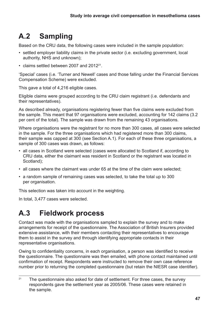# **A.2 Sampling**

Based on the CRU data, the following cases were included in the sample population:

- settled employer liability claims in the private sector (i.e. excluding government, local authority, NHS and unknown);
- claims settled between 2007 and 2012<sup>21</sup>.

'Special' cases (i.e. 'Turner and Newell' cases and those falling under the Financial Services Compensation Scheme) were excluded.

This gave a total of 4,216 eligible cases.

Eligible claims were grouped according to the CRU claim registrant (i.e. defendants and their representatives).

As described already, organisations registering fewer than five claims were excluded from the sample. This meant that 97 organisations were excluded, accounting for 142 claims (3.2 per cent of the total). The sample was drawn from the remaining 43 organisations.

Where organisations were the registrant for no more than 300 cases, all cases were selected in the sample. For the three organisations which had registered more than 300 claims, their sample was capped at 300 (see Section A.1). For each of these three organisations, a sample of 300 cases was drawn, as follows:

- all cases in Scotland were selected (cases were allocated to Scotland if, according to CRU data, either the claimant was resident in Scotland or the registrant was located in Scotland):
- all cases where the claimant was under 65 at the time of the claim were selected;
- a random sample of remaining cases was selected, to take the total up to 300 per organisation.

This selection was taken into account in the weighting.

In total, 3,477 cases were selected.

### **A.3 Fieldwork process**

Contact was made with the organisations sampled to explain the survey and to make arrangements for receipt of the questionnaire. The Association of British Insurers provided extensive assistance, with their members contacting their representatives to encourage them to assist in the survey and through identifying appropriate contacts in their representative organisations.

Owing to confidentiality concerns, in each organisation, a person was identified to receive the questionnaire. The questionnaire was then emailed, with phone contact maintained until confirmation of receipt. Respondents were instructed to remove their own case reference number prior to returning the completed questionnaire (but retain the NIESR case identifier).

 $21$  The questionnaire also asked for date of settlement. For three cases, the survey respondents gave the settlement year as 2005/06. These cases were retained in the sample.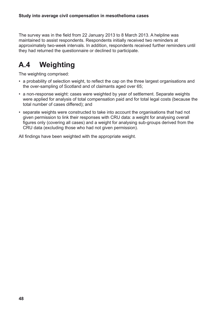The survey was in the field from 22 January 2013 to 8 March 2013. A helpline was maintained to assist respondents. Respondents initially received two reminders at approximately two-week intervals. In addition, respondents received further reminders until they had returned the questionnaire or declined to participate.

## **A.4 Weighting**

The weighting comprised:

- a probability of selection weight, to reflect the cap on the three largest organisations and the over-sampling of Scotland and of claimants aged over 65;
- a non-response weight: cases were weighted by year of settlement. Separate weights were applied for analysis of total compensation paid and for total legal costs (because the total number of cases differed); and
- separate weights were constructed to take into account the organisations that had not given permission to link their responses with CRU data: a weight for analysing overall figures only (covering all cases) and a weight for analysing sub-groups derived from the CRU data (excluding those who had not given permission).

All findings have been weighted with the appropriate weight.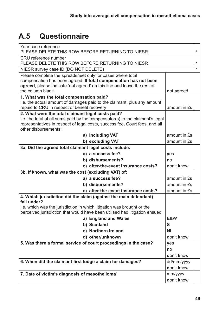# **A.5 Questionnaire**

| Your case reference<br>PLEASE DELETE THIS ROW BEFORE RETURNING TO NIESR                                                                                                                                                                                       |              |   |
|---------------------------------------------------------------------------------------------------------------------------------------------------------------------------------------------------------------------------------------------------------------|--------------|---|
| CRU reference number<br>PLEASE DELETE THIS ROW BEFORE RETURNING TO NIESR                                                                                                                                                                                      |              |   |
| NIESR survey case ID (DO NOT DELETE)                                                                                                                                                                                                                          |              | a |
| Please complete the spreadsheet only for cases where total<br>compensation has been agreed. If total compensation has not been<br>agreed, please indicate 'not agreed' on this line and leave the rest of<br>the column blank.<br>not agreed                  |              |   |
| 1. What was the total compensation paid?<br>i.e. the actual amount of damages paid to the claimant, plus any amount<br>repaid to CRU in respect of benefit recovery                                                                                           | amount in £s |   |
| 2. What were the total claimant legal costs paid?<br>i.e. the total of all sums paid by the compensator(s) to the claimant's legal<br>representatives in respect of legal costs, success fee, Court fees, and all<br>other disbursements:<br>a) including VAT | amount in £s |   |
| b) excluding VAT                                                                                                                                                                                                                                              | amount in £s |   |
| 3a. Did the agreed total claimant legal costs include:                                                                                                                                                                                                        |              |   |
| a) a success fee?                                                                                                                                                                                                                                             | yes          |   |
| b) disbursements?                                                                                                                                                                                                                                             | no           |   |
| c) after-the-event insurance costs?                                                                                                                                                                                                                           | don't know   |   |
| 3b. If known, what was the cost (excluding VAT) of:                                                                                                                                                                                                           |              |   |
| a) a success fee?                                                                                                                                                                                                                                             | amount in £s |   |
| b) disbursements?                                                                                                                                                                                                                                             | amount in £s |   |
| c) after-the-event insurance costs?                                                                                                                                                                                                                           | amount in £s |   |
| 4. Which jurisdiction did the claim (against the main defendant)<br>fall under?<br>i.e. which was the jurisdiction in which litigation was brought or the                                                                                                     |              |   |
| perceived jurisdiction that would have been utilised had litigation ensued                                                                                                                                                                                    |              |   |
| a) England and Wales                                                                                                                                                                                                                                          | E&W          |   |
| b) Scotland                                                                                                                                                                                                                                                   | S            |   |
| c) Northern Ireland                                                                                                                                                                                                                                           | <b>NI</b>    |   |
| d) other/unknown                                                                                                                                                                                                                                              | don't know   |   |
| 5. Was there a formal service of court proceedings in the case?<br>yes                                                                                                                                                                                        |              |   |
|                                                                                                                                                                                                                                                               | no           |   |
| don't know                                                                                                                                                                                                                                                    |              |   |
| 6. When did the claimant first lodge a claim for damages?<br>dd/mm/yyyy                                                                                                                                                                                       |              |   |
|                                                                                                                                                                                                                                                               | don't know   |   |
| 7. Date of victim's diagnosis of mesothelioma <sup>b</sup>                                                                                                                                                                                                    | mm/yyyy      |   |
|                                                                                                                                                                                                                                                               | don't know   |   |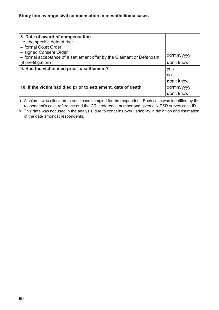| 8. Date of award of compensation                                       |            |  |
|------------------------------------------------------------------------|------------|--|
| i.e. the specific date of the:                                         |            |  |
| - formal Court Order                                                   |            |  |
| - signed Consent Order                                                 | dd/mm/yyyy |  |
| - formal acceptance of a settlement offer by the Claimant or Defendant |            |  |
| (if pre-litigation)                                                    | don't know |  |
| 9. Had the victim died prior to settlement?                            | yes        |  |
|                                                                        | no         |  |
|                                                                        | don't know |  |
| 10. If the victim had died prior to settlement, date of death          | dd/mm/yyyy |  |
|                                                                        | don't know |  |

a A column was allocated to each case sampled for the respondent. Each case was identified by the respondent's case reference and the CRU reference number and given a NIESR survey case ID.

b This data was not used in the analysis, due to concerns over variability in definition and estimation of the date amongst respondents.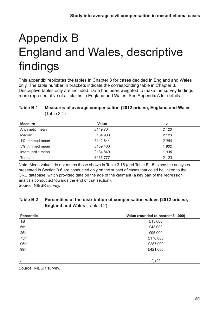# <span id="page-50-0"></span>Appendix B England and Wales, descriptive findings

This appendix replicates the tables in Chapter 3 for cases decided in England and Wales only. The table number in brackets indicate the corresponding table in Chapter 3. Descriptive tables only are included. Data has been weighted to make the survey findings more representative of all claims in England and Wales. See Appendix A for details.

#### **Table B.1 Measures of average compensation (2012 prices), England and Wales**  (Table 3.1)

| <b>Measure</b>     | <b>Value</b> | n     |
|--------------------|--------------|-------|
| Arithmetic mean    | £149,704     | 2,123 |
| Median             | £134,903     | 2,123 |
| 1% trimmed mean    | £142,844     | 2,080 |
| 5% trimmed mean    | £139,466     | 1,902 |
| Interquartile mean | £134,849     | 1,036 |
| Trimean            | £135,777     | 2,123 |

Note: Mean values do not match those shown in Table 3.15 (and Table B.15) since the analyses presented in Section 3.6 are conducted only on the subset of cases that could be linked to the CRU database, which provided data on the age of the claimant (a key part of the regression analysis conducted towards the end of that section). Source: NIESR survey.

#### **Table B.2 Percentiles of the distribution of compensation values (2012 prices), England and Wales** (Table 3.2)

| <b>Percentile</b> | Value (rounded to nearest £1,000) |
|-------------------|-----------------------------------|
| 1st               | £15,000                           |
| 5th               | £43,000                           |
| 25th              | £95,000                           |
| 75th              | £178,000                          |
| 95th              | £287,000                          |
| 99th              | £421,000                          |
|                   |                                   |
| $\mathsf{n}$      | 2,123                             |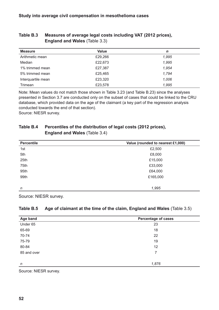| <b>Measure</b>     | <b>Value</b> | n     |
|--------------------|--------------|-------|
| Arithmetic mean    | £29,266      | 1,995 |
| Median             | £22,673      | 1,995 |
| 1% trimmed mean    | £27,387      | 1,954 |
| 5% trimmed mean    | £25,465      | 1,794 |
| Interquartile mean | £23,320      | 1,006 |
| Trimean            | £23,578      | 1,995 |

#### <span id="page-51-0"></span>**Table B.3 Measures of average legal costs including VAT (2012 prices), England and Wales** (Table 3.3)

Note: Mean values do not match those shown in Table 3.23 (and Table B.23) since the analyses presented in Section 3.7 are conducted only on the subset of cases that could be linked to the CRU database, which provided data on the age of the claimant (a key part of the regression analysis conducted towards the end of that section).

Source: NIESR survey.

#### **Table B.4 Percentiles of the distribution of legal costs (2012 prices), England and Wales** (Table 3.4)

| <b>Percentile</b> | Value (rounded to nearest £1,000) |
|-------------------|-----------------------------------|
| 1st               | £2,500                            |
| 5th               | £8,000                            |
| 25th              | £15,000                           |
| 75th              | £33,000                           |
| 95th              | £64,000                           |
| 99th              | £165,000                          |
|                   |                                   |
| n                 | 1,995                             |

Source: NIESR survey.

#### **Table B.5 Age of claimant at the time of the claim, England and Wales** (Table 3.5)

| Age band    | <b>Percentage of cases</b> |
|-------------|----------------------------|
| Under 65    | 23                         |
| 65-69       | 18                         |
| 70-74       | 22                         |
| 75-79       | 19                         |
| 80-84       | 12                         |
| 85 and over | 7                          |
|             |                            |
| $\eta$      | 1,876                      |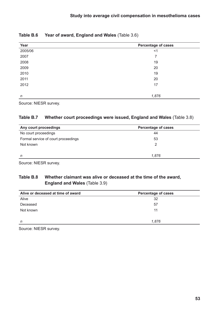| Year    | <b>Percentage of cases</b> |  |
|---------|----------------------------|--|
| 2005/06 | $<$ 1                      |  |
| 2007    | 7                          |  |
| 2008    | 19                         |  |
| 2009    | 20                         |  |
| 2010    | 19                         |  |
| 2011    | 20                         |  |
| 2012    | 17                         |  |
|         |                            |  |
| n       | 1,876                      |  |

#### <span id="page-52-0"></span>**Table B.6 Year of award, England and Wales** (Table 3.6)

Source: NIESR survey.

#### **Table B.7 Whether court proceedings were issued, England and Wales** (Table 3.8)

| Any court proceedings               | <b>Percentage of cases</b> |
|-------------------------------------|----------------------------|
| No court proceedings                | 44                         |
| Formal service of court proceedings | 53                         |
| Not known                           | 2                          |
|                                     |                            |
| n                                   | 1.876                      |

Source: NIESR survey.

#### **Table B.8 Whether claimant was alive or deceased at the time of the award, England and Wales** (Table 3.9)

| Alive or deceased at time of award | <b>Percentage of cases</b> |
|------------------------------------|----------------------------|
| Alive                              | 32                         |
| Deceased                           | 57                         |
| Not known                          | 11                         |
|                                    |                            |
| n                                  | 1,876                      |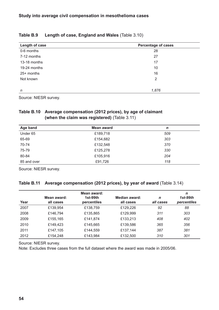| Length of case | <b>Percentage of cases</b> |
|----------------|----------------------------|
| 0-6 months     | 28                         |
| 7-12 months    | 27                         |
| 13-18 months   | 17                         |
| 19-24 months   | 10                         |
| $25+$ months   | 16                         |
| Not known      | 2                          |
|                |                            |
| n              | 1,876                      |

#### <span id="page-53-0"></span>**Table B.9 Length of case, England and Wales** (Table 3.10)

Source: NIESR survey.

#### **Table B.10 Average compensation (2012 prices), by age of claimant (when the claim was registered)** (Table 3.11)

| Age band    | Mean award | n   |
|-------------|------------|-----|
| Under 65    | £189,718   | 509 |
| 65-69       | £154,682   | 303 |
| 70-74       | £132,548   | 370 |
| 75-79       | £125,278   | 330 |
| 80-84       | £105,916   | 204 |
| 85 and over | £91,726    | 118 |

Source: NIESR survey.

#### **Table B.11 Average compensation (2012 prices), by year of award** (Table 3.14)

| Year | Mean award:<br>all cases | Mean award:<br>$1st-99th$<br>percentiles | Median award:<br>all cases | $\mathbf n$<br>all cases | n<br>$1st-99th$<br>percentiles |
|------|--------------------------|------------------------------------------|----------------------------|--------------------------|--------------------------------|
| 2007 | £139,954                 | £138,759                                 | £129,226                   | 92                       | 88                             |
| 2008 | £146,794                 | £135,865                                 | £129,999                   | 311                      | 303                            |
| 2009 | £155,165                 | £141,874                                 | £133,213                   | 408                      | 402                            |
| 2010 | £149,423                 | £145,665                                 | £139,586                   | 365                      | 356                            |
| 2011 | £147,105                 | £144,559                                 | £137,144                   | 387                      | 381                            |
| 2012 | £154,248                 | £143,984                                 | £132,500                   | 310                      | 301                            |

Source: NIESR survey.

Note: Excludes three cases from the full dataset where the award was made in 2005/06.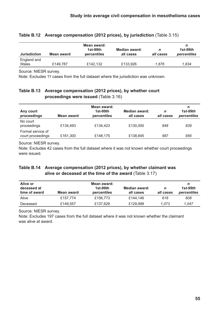| <b>Jurisdiction</b>  | Mean award | Mean award:<br>$1st-99th$<br>percentiles | Median award:<br>all cases | n<br>all cases | $1st-99th$<br>percentiles |
|----------------------|------------|------------------------------------------|----------------------------|----------------|---------------------------|
| England and<br>Wales | £149,787   | £142.132                                 | £133,926                   | 1.876          | 1,834                     |

#### <span id="page-54-0"></span>**Table B.12 Average compensation (2012 prices), by jurisdiction** (Table 3.15)

Source: NIESR survey.

Note: Excludes 11 cases from the full dataset where the jurisdiction was unknown.

#### **Table B.13 Average compensation (2012 prices), by whether court proceedings were issued** (Table 3.16)

| Any court<br>proceedings               | Mean award | Mean award:<br>1st-99th<br>percentiles | Median award:<br>all cases | n<br>all cases | n<br>1st-99th<br>percentiles |
|----------------------------------------|------------|----------------------------------------|----------------------------|----------------|------------------------------|
| No court<br>proceedings                | £134,493   | £134,423                               | £130,000                   | 848            | 839                          |
| Formal service of<br>court proceedings | £161,300   | £148,175                               | £138,845                   | 987            | 956                          |

Source: NIESR survey.

Note: Excludes 42 cases from the full dataset where it was not known whether court proceedings were issued.

#### **Table B.14 Average compensation (2012 prices), by whether claimant was alive or deceased at the time of the award** (Table 3.17)

| Alive or<br>deceased at<br>time of award | Mean award | Mean award:<br>$1st-99th$<br>percentiles | Median award:<br>all cases | n<br>all cases | n<br>$1st-99th$<br>percentiles |
|------------------------------------------|------------|------------------------------------------|----------------------------|----------------|--------------------------------|
| Alive                                    | £157.774   | £156,773                                 | £144.146                   | 618            | 608                            |
| Deceased                                 | £149.557   | £137.629                                 | £129,999                   | 1.073          | 1.047                          |

Source: NIESR survey.

Note: Excludes 197 cases from the full dataset where it was not known whether the claimant was alive at award.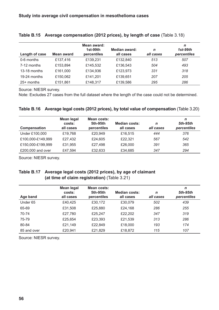| Length of case | Mean award | Mean award:<br>$1st-99th$<br>percentiles | Median award:<br>all cases | $\mathsf{n}$<br>all cases | n<br>1st-99th<br>percentiles |
|----------------|------------|------------------------------------------|----------------------------|---------------------------|------------------------------|
| 0-6 months     | £137,416   | £139,231                                 | £132,840                   | 513                       | 507                          |
| 7-12 months    | £153,894   | £145,532                                 | £136,543                   | 504                       | 493                          |
| 13-18 months   | £161,000   | £134,936                                 | £123,973                   | 331                       | 318                          |
| 19-24 months   | £150,062   | £141,201                                 | £139,651                   | 207                       | 205                          |
| $25+$ months   | £151,861   | £148,317                                 | £139,586                   | 295                       | 286                          |

#### <span id="page-55-0"></span>**Table B.15 Average compensation (2012 prices), by length of case** (Table 3.18)

Source: NIESR survey.

Note: Excludes 27 cases from the full dataset where the length of the case could not be determined.

|  |  |  | Table B.16 Average legal costs (2012 prices), by total value of compensation (Table 3.20) |  |
|--|--|--|-------------------------------------------------------------------------------------------|--|
|--|--|--|-------------------------------------------------------------------------------------------|--|

| Compensation      | Mean legal<br>costs:<br>all cases | Mean costs:<br>5th-95th<br>percentiles | <b>Median costs:</b><br>all cases | n<br>all cases | n<br>5th-95th<br>percentiles |
|-------------------|-----------------------------------|----------------------------------------|-----------------------------------|----------------|------------------------------|
| Under £100,000    | £19,768                           | £20,949                                | £16,515                           | 444            | 376                          |
| £100,000-£149,999 | £27,432                           | £24,605                                | £22,321                           | 567            | 542                          |
| £150,000-£199,999 | £31,955                           | £27,498                                | £26,000                           | 391            | 365                          |
| £200,000 and over | £47,594                           | £32,633                                | £34,685                           | 347            | 294                          |

Source: NIESR survey.

#### **Table B.17 Average legal costs (2012 prices), by age of claimant (at time of claim registration)** (Table 3.21)

| Age band            | <b>Mean legal</b><br>costs:<br>all cases | Mean costs:<br>5th-95th<br>percentiles | <b>Median costs:</b><br>all cases | $\mathbf n$<br>all cases | n<br>5th-95th<br>percentiles |
|---------------------|------------------------------------------|----------------------------------------|-----------------------------------|--------------------------|------------------------------|
| Under <sub>65</sub> | £40,425                                  | £30,172                                | £30,079                           | 502                      | 439                          |
| 65-69               | £31,508                                  | £25,880                                | £24,168                           | 286                      | 255                          |
| 70-74               | £27,780                                  | £25,247                                | £22,202                           | 347                      | 319                          |
| 75-79               | £25,654                                  | £23,393                                | £21,539                           | 313                      | 286                          |
| 80-84               | £21,149                                  | £22,849                                | £18,000                           | 193                      | 174                          |
| 85 and over         | £20,941                                  | £21,829                                | £18,872                           | 115                      | 107                          |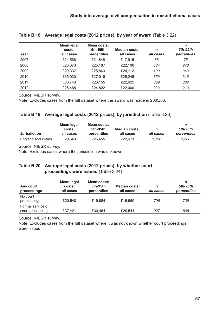| Year | <b>Mean legal</b><br>costs:<br>all cases | Mean costs:<br>5th-95th<br>percentiles | <b>Median costs:</b><br>all cases | n<br>all cases | n<br>5th-95th<br>percentiles |
|------|------------------------------------------|----------------------------------------|-----------------------------------|----------------|------------------------------|
| 2007 | £24,566                                  | £21,848                                | £17,915                           | 88             | 75                           |
| 2008 | £26,373                                  | £25,187                                | £22,106                           | 304            | 278                          |
| 2009 | £29,337                                  | £25,843                                | £24,112                           | 400            | 363                          |
| 2010 | £35,030                                  | £27,016                                | £25,245                           | 359            | 316                          |
| 2011 | £30,743                                  | £26,155                                | £22,625                           | 369            | 332                          |
| 2012 | £28,468                                  | £24,822                                | £22,000                           | 233            | 213                          |

#### <span id="page-56-0"></span>**Table B.18 Average legal costs (2012 prices), by year of award** (Table 3.22)

Source: NIESR survey.

Note: Excludes cases from the full dataset where the award was made in 2005/06.

#### **Table B.19 Average legal costs (2012 prices), by jurisdiction** (Table 3.23)

| <b>Jurisdiction</b> | Mean legal<br>costs:<br>all cases | Mean costs:<br>5th-95th<br>percentiles | <b>Median costs:</b><br>all cases | all cases | 5th-95th<br>percentiles |
|---------------------|-----------------------------------|----------------------------------------|-----------------------------------|-----------|-------------------------|
| England and Wales   | £29.643                           | £25.455                                | £22,673                           | 1.756     | 1.580                   |

Source: NIESR survey.

Note: Excludes cases where the jurisdiction was unknown.

#### **Table B.20 Average legal costs (2012 prices), by whether court proceedings were issued** (Table 3.24)

| Any court<br>proceedings               | Mean legal<br>costs:<br>all cases | Mean costs:<br>5th-95th<br>percentiles | <b>Median costs:</b><br>all cases | n<br>all cases | n<br>5th-95th<br>percentiles |
|----------------------------------------|-----------------------------------|----------------------------------------|-----------------------------------|----------------|------------------------------|
| No court<br>proceedings                | £20,540                           | £19,984                                | £16,969                           | 796            | 739                          |
| Formal service of<br>court proceedings | £37,421                           | £30,464                                | £29,541                           | 927            | 808                          |

Source: NIESR survey.

Note: Excludes cases from the full dataset where it was not known whether court proceedings were issued.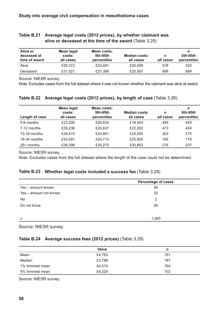| Alive or<br>deceased at<br>time of award | Mean legal<br>costs:<br>all cases | Mean costs:<br>5th-95th<br>percentiles | <b>Median costs:</b><br>all cases | n<br>all cases | n<br>5th-95th<br>percentiles |
|------------------------------------------|-----------------------------------|----------------------------------------|-----------------------------------|----------------|------------------------------|
| Alive                                    | £29,372                           | £23.481                                | £20,559                           | 578            | 525                          |
| Deceased                                 | £31,521                           | £27,389                                | £25,507                           | 996            | 899                          |

#### <span id="page-57-0"></span>**Table B.21 Average legal costs (2012 prices), by whether claimant was alive or deceased at the time of the award** (Table 3.25)

Source: NIESR survey.

Note: Excludes cases from the full dataset where it was not known whether the claimant was alive at award.

| Length of case | <b>Mean legal</b><br>costs:<br>all cases | Mean costs:<br>5th-95th<br>percentiles | <b>Median costs:</b><br>all cases | n<br>all cases | n<br>5th-95th<br>percentiles |
|----------------|------------------------------------------|----------------------------------------|-----------------------------------|----------------|------------------------------|
| 0-6 months     | £23,209                                  | £20,634                                | £18,043                           | 485            | 445                          |
| 7-12 months    | £29,236                                  | £24,637                                | £22,202                           | 473            | 424                          |
| 13-18 months   | £29,415                                  | £24,841                                | £25,000                           | 303            | 275                          |
| 19-24 months   | £33,591                                  | £24,712                                | £25,000                           | 195            | 178                          |
| $25+$ months   | £38,398                                  | £30,275                                | £30,853                           | 276            | 237                          |

#### **Table B.22 Average legal costs (2012 prices), by length of case** (Table 3.26)

Source: NIESR survey.

Note: Excludes cases from the full dataset where the length of the case could not be determined.

#### **Table B.23 Whether legal costs included a success fee** (Table 3.28)

|                        | <b>Percentage of cases</b> |
|------------------------|----------------------------|
| Yes - amount known     | 40                         |
| Yes – amount not known | 32                         |
| No                     | 2                          |
| Do not know            | 26                         |
|                        |                            |
| n                      | 1,995                      |

Source: NIESR survey.

#### **Table B.24 Average success fees (2012 prices)** (Table 3.29)

|                 | Value  | n   |
|-----------------|--------|-----|
| Mean            | £4,763 | 781 |
|                 |        |     |
| Median          | £3,788 | 781 |
| 1% trimmed mean | £4,510 | 764 |
| 5% trimmed mean | £4,229 | 702 |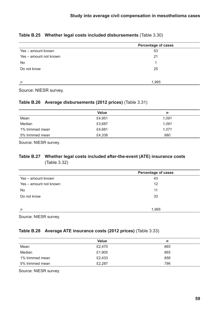#### <span id="page-58-0"></span>**Table B.25 Whether legal costs included disbursements** (Table 3.30)

|                        | <b>Percentage of cases</b> |
|------------------------|----------------------------|
| Yes - amount known     | 53                         |
| Yes - amount not known | 21                         |
| <b>No</b>              |                            |
| Do not know            | 25                         |
|                        |                            |
| n                      | 1,995                      |

Source: NIESR survey.

#### **Table B.26 Average disbursements (2012 prices)** (Table 3.31)

|                 | Value  | n     |
|-----------------|--------|-------|
| Mean            | £4,951 | 1,091 |
| Median          | £3,687 | 1.091 |
| 1% trimmed mean | £4,681 | 1.071 |
| 5% trimmed mean | £4,338 | 980   |

Source: NIESR survey.

#### **Table B.27 Whether legal costs included after-the-event (ATE) insurance costs** (Table 3.32)

| <b>Percentage of cases</b> |  |
|----------------------------|--|
| 43                         |  |
| 12                         |  |
| 11                         |  |
| 33                         |  |
| 1,995                      |  |
|                            |  |

Source: NIESR survey.

#### **Table B.28 Average ATE insurance costs (2012 prices)** (Table 3.33)

|                 | Value  | n   |
|-----------------|--------|-----|
| Mean            | £2,470 | 865 |
| Median          | £1,905 | 865 |
| 1% trimmed mean | £2,433 | 856 |
| 5% trimmed mean | £2,287 | 796 |